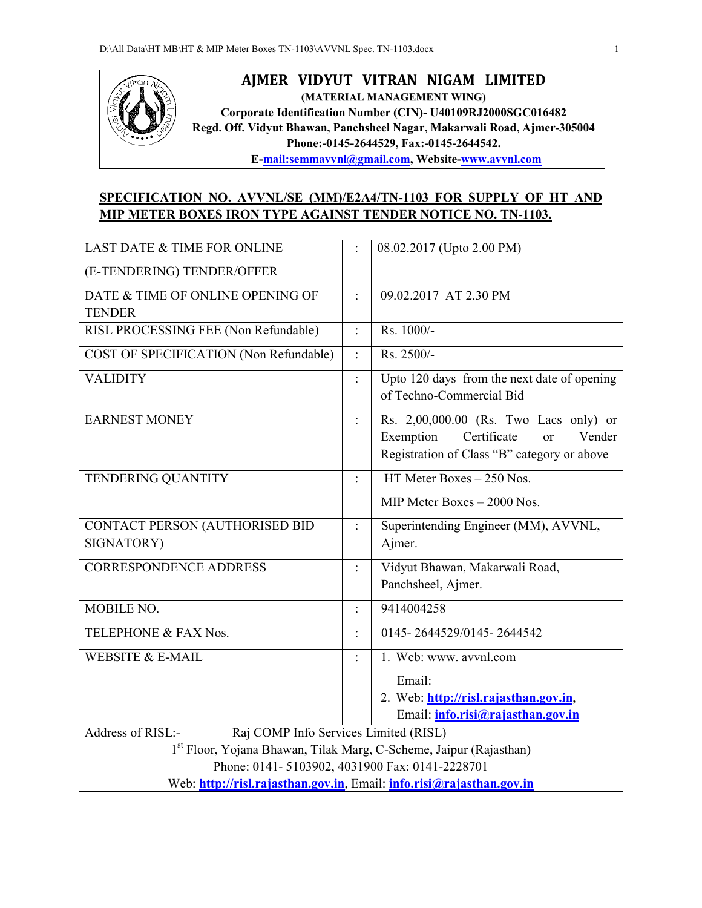

## **AJMER VIDYUT VITRAN NIGAM LIMITED (MATERIAL MANAGEMENT WING) Corporate Identification Number (CIN)- U40109RJ2000SGC016482 Regd. Off. Vidyut Bhawan, Panchsheel Nagar, Makarwali Road, Ajmer-305004 Phone:-0145-2644529, Fax:-0145-2644542. E-mail:semmavvnl@gmail.com, Website-www.avvnl.com**

## **SPECIFICATION NO. AVVNL/SE (MM)/E2A4/TN-1103 FOR SUPPLY OF HT AND MIP METER BOXES IRON TYPE AGAINST TENDER NOTICE NO. TN-1103.**

| <b>LAST DATE &amp; TIME FOR ONLINE</b>                                         |                      | 08.02.2017 (Upto 2.00 PM)                                               |  |  |  |  |
|--------------------------------------------------------------------------------|----------------------|-------------------------------------------------------------------------|--|--|--|--|
| (E-TENDERING) TENDER/OFFER                                                     |                      |                                                                         |  |  |  |  |
| DATE & TIME OF ONLINE OPENING OF                                               | $\bullet$            | 09.02.2017 AT 2.30 PM                                                   |  |  |  |  |
| <b>TENDER</b>                                                                  |                      |                                                                         |  |  |  |  |
| RISL PROCESSING FEE (Non Refundable)                                           | $\frac{1}{2}$        | Rs. 1000/-                                                              |  |  |  |  |
| COST OF SPECIFICATION (Non Refundable)                                         | $\ddot{\cdot}$       | Rs. 2500/-                                                              |  |  |  |  |
| <b>VALIDITY</b>                                                                |                      | Upto 120 days from the next date of opening<br>of Techno-Commercial Bid |  |  |  |  |
| <b>EARNEST MONEY</b>                                                           | $\ddot{\cdot}$       | Rs. 2,00,000.00 (Rs. Two Lacs only) or                                  |  |  |  |  |
|                                                                                |                      | Exemption<br>Certificate<br>Vender<br>or                                |  |  |  |  |
|                                                                                |                      | Registration of Class "B" category or above                             |  |  |  |  |
| TENDERING QUANTITY                                                             | $\ddot{\phantom{a}}$ | HT Meter Boxes $-250$ Nos.                                              |  |  |  |  |
|                                                                                |                      | MIP Meter Boxes - 2000 Nos.                                             |  |  |  |  |
| CONTACT PERSON (AUTHORISED BID                                                 | $\ddot{\cdot}$       | Superintending Engineer (MM), AVVNL,                                    |  |  |  |  |
| SIGNATORY)                                                                     |                      | Ajmer.                                                                  |  |  |  |  |
| <b>CORRESPONDENCE ADDRESS</b>                                                  | $\ddot{\cdot}$       | Vidyut Bhawan, Makarwali Road,                                          |  |  |  |  |
|                                                                                |                      | Panchsheel, Ajmer.                                                      |  |  |  |  |
| <b>MOBILE NO.</b>                                                              |                      | 9414004258                                                              |  |  |  |  |
| TELEPHONE & FAX Nos.                                                           | $\ddot{\cdot}$       | 0145-2644529/0145-2644542                                               |  |  |  |  |
| <b>WEBSITE &amp; E-MAIL</b>                                                    |                      | 1. Web: www. avvnl.com                                                  |  |  |  |  |
|                                                                                |                      | Email:                                                                  |  |  |  |  |
|                                                                                |                      | 2. Web: http://risl.rajasthan.gov.in,                                   |  |  |  |  |
|                                                                                |                      | Email: info.risi@rajasthan.gov.in                                       |  |  |  |  |
| Address of RISL:-<br>Raj COMP Info Services Limited (RISL)                     |                      |                                                                         |  |  |  |  |
| 1 <sup>st</sup> Floor, Yojana Bhawan, Tilak Marg, C-Scheme, Jaipur (Rajasthan) |                      |                                                                         |  |  |  |  |
| Phone: 0141-5103902, 4031900 Fax: 0141-2228701                                 |                      |                                                                         |  |  |  |  |
| Web: http://risl.rajasthan.gov.in, Email: info.risi@rajasthan.gov.in           |                      |                                                                         |  |  |  |  |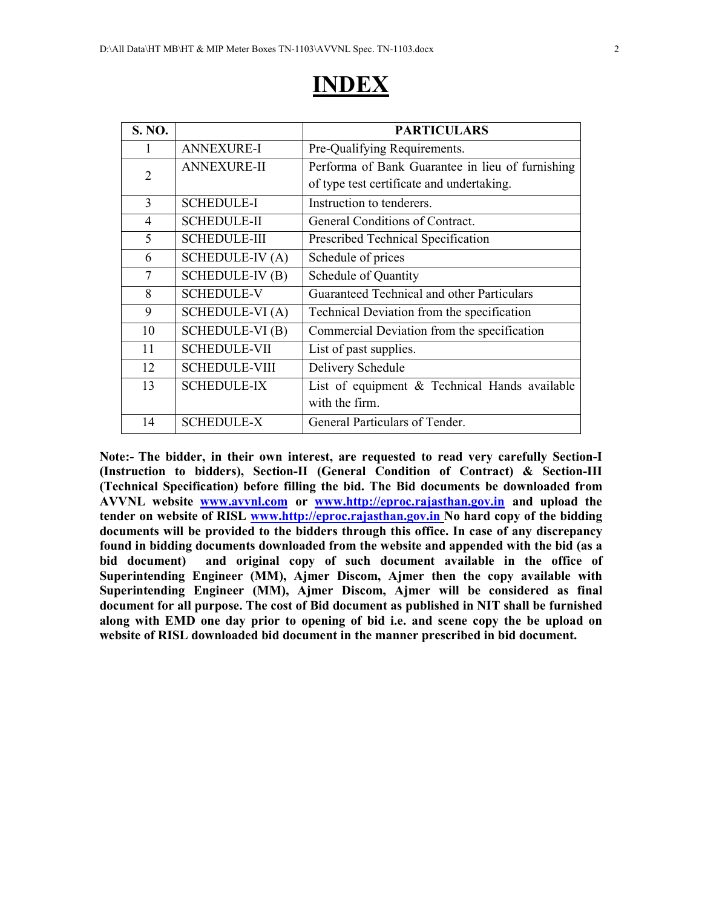# **INDEX**

| S. NO.         |                        | <b>PARTICULARS</b>                               |
|----------------|------------------------|--------------------------------------------------|
| 1              | <b>ANNEXURE-I</b>      | Pre-Qualifying Requirements.                     |
| $\overline{2}$ | <b>ANNEXURE-II</b>     | Performa of Bank Guarantee in lieu of furnishing |
|                |                        | of type test certificate and undertaking.        |
| 3              | <b>SCHEDULE-I</b>      | Instruction to tenderers.                        |
| $\overline{4}$ | <b>SCHEDULE-II</b>     | General Conditions of Contract.                  |
| 5              | <b>SCHEDULE-III</b>    | Prescribed Technical Specification               |
| 6              | <b>SCHEDULE-IV (A)</b> | Schedule of prices                               |
| 7              | <b>SCHEDULE-IV (B)</b> | Schedule of Quantity                             |
| 8              | <b>SCHEDULE-V</b>      | Guaranteed Technical and other Particulars       |
| 9              | <b>SCHEDULE-VI</b> (A) | Technical Deviation from the specification       |
| 10             | <b>SCHEDULE-VI (B)</b> | Commercial Deviation from the specification      |
| 11             | <b>SCHEDULE-VII</b>    | List of past supplies.                           |
| 12             | <b>SCHEDULE-VIII</b>   | Delivery Schedule                                |
| 13             | <b>SCHEDULE-IX</b>     | List of equipment & Technical Hands available    |
|                |                        | with the firm.                                   |
| 14             | <b>SCHEDULE-X</b>      | General Particulars of Tender.                   |

**Note:- The bidder, in their own interest, are requested to read very carefully Section-I (Instruction to bidders), Section-II (General Condition of Contract) & Section-III (Technical Specification) before filling the bid. The Bid documents be downloaded from AVVNL website www.avvnl.com or www.http://eproc.rajasthan.gov.in and upload the tender on website of RISL www.http://eproc.rajasthan.gov.in No hard copy of the bidding documents will be provided to the bidders through this office. In case of any discrepancy found in bidding documents downloaded from the website and appended with the bid (as a**  bid document) and original copy of such document available in the office of **Superintending Engineer (MM), Ajmer Discom, Ajmer then the copy available with Superintending Engineer (MM), Ajmer Discom, Ajmer will be considered as final document for all purpose. The cost of Bid document as published in NIT shall be furnished along with EMD one day prior to opening of bid i.e. and scene copy the be upload on website of RISL downloaded bid document in the manner prescribed in bid document.**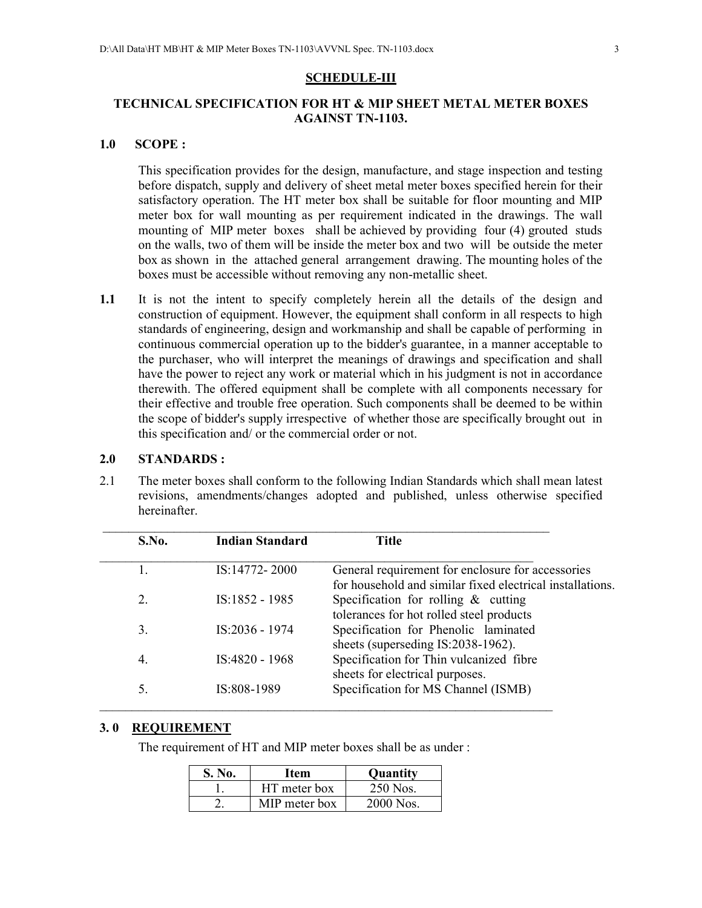#### **SCHEDULE-III**

### **TECHNICAL SPECIFICATION FOR HT & MIP SHEET METAL METER BOXES AGAINST TN-1103.**

#### **1.0 SCOPE :**

 This specification provides for the design, manufacture, and stage inspection and testing before dispatch, supply and delivery of sheet metal meter boxes specified herein for their satisfactory operation. The HT meter box shall be suitable for floor mounting and MIP meter box for wall mounting as per requirement indicated in the drawings. The wall mounting of MIP meter boxes shall be achieved by providing four (4) grouted studs on the walls, two of them will be inside the meter box and two will be outside the meter box as shown in the attached general arrangement drawing. The mounting holes of the boxes must be accessible without removing any non-metallic sheet.

**1.1** It is not the intent to specify completely herein all the details of the design and construction of equipment. However, the equipment shall conform in all respects to high standards of engineering, design and workmanship and shall be capable of performing in continuous commercial operation up to the bidder's guarantee, in a manner acceptable to the purchaser, who will interpret the meanings of drawings and specification and shall have the power to reject any work or material which in his judgment is not in accordance therewith. The offered equipment shall be complete with all components necessary for their effective and trouble free operation. Such components shall be deemed to be within the scope of bidder's supply irrespective of whether those are specifically brought out in this specification and/ or the commercial order or not.

#### **2.0 STANDARDS :**

2.1 The meter boxes shall conform to the following Indian Standards which shall mean latest revisions, amendments/changes adopted and published, unless otherwise specified hereinafter.

| S.No. | <b>Indian Standard</b> | Title                                                     |
|-------|------------------------|-----------------------------------------------------------|
|       | IS:14772-2000          | General requirement for enclosure for accessories         |
|       |                        | for household and similar fixed electrical installations. |
| 2     | IS:1852 - 1985         | Specification for rolling $\&$ cutting                    |
|       |                        | tolerances for hot rolled steel products                  |
| 3.    | IS:2036 - 1974         | Specification for Phenolic laminated                      |
|       |                        | sheets (superseding IS:2038-1962).                        |
| 4.    | IS:4820 - 1968         | Specification for Thin vulcanized fibre                   |
|       |                        | sheets for electrical purposes.                           |
| 5.    | IS:808-1989            | Specification for MS Channel (ISMB)                       |

#### **3. 0 REQUIREMENT**

The requirement of HT and MIP meter boxes shall be as under :

| S. No. | Item          | <b>Quantity</b> |
|--------|---------------|-----------------|
|        | HT meter box  | 250 Nos.        |
|        | MIP meter box | 2000 Nos.       |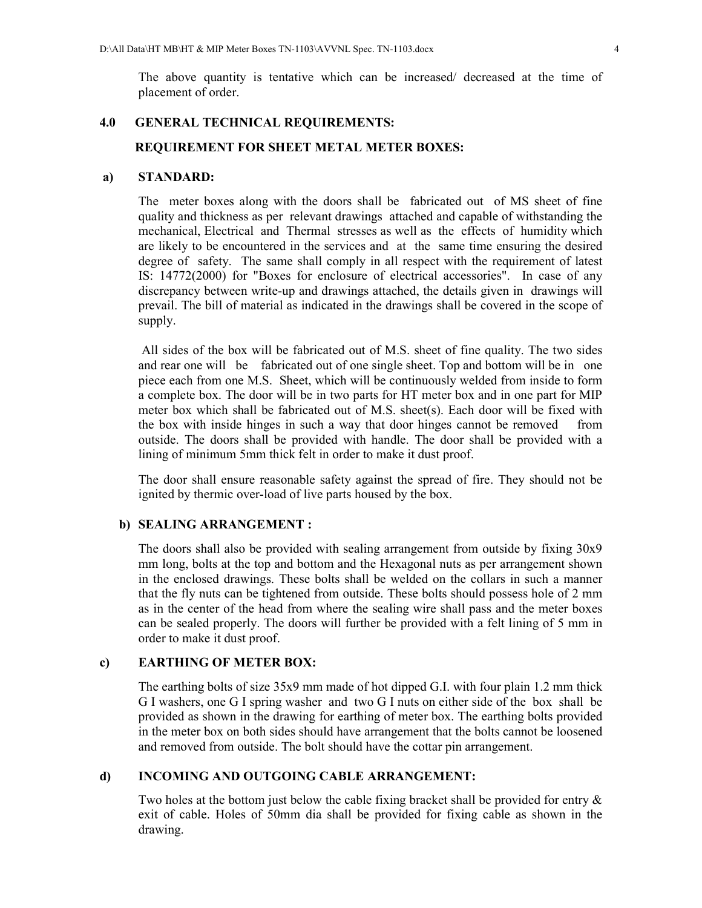The above quantity is tentative which can be increased/ decreased at the time of placement of order.

#### **4.0 GENERAL TECHNICAL REQUIREMENTS:**

### **REQUIREMENT FOR SHEET METAL METER BOXES:**

#### **a) STANDARD:**

 The meter boxes along with the doors shall be fabricated out of MS sheet of fine quality and thickness as per relevant drawings attached and capable of withstanding the mechanical, Electrical and Thermal stresses as well as the effects of humidity which are likely to be encountered in the services and at the same time ensuring the desired degree of safety. The same shall comply in all respect with the requirement of latest IS: 14772(2000) for "Boxes for enclosure of electrical accessories". In case of any discrepancy between write-up and drawings attached, the details given in drawings will prevail. The bill of material as indicated in the drawings shall be covered in the scope of supply.

 All sides of the box will be fabricated out of M.S. sheet of fine quality. The two sides and rear one will be fabricated out of one single sheet. Top and bottom will be in one piece each from one M.S. Sheet, which will be continuously welded from inside to form a complete box. The door will be in two parts for HT meter box and in one part for MIP meter box which shall be fabricated out of M.S. sheet(s). Each door will be fixed with the box with inside hinges in such a way that door hinges cannot be removed from outside. The doors shall be provided with handle. The door shall be provided with a lining of minimum 5mm thick felt in order to make it dust proof.

The door shall ensure reasonable safety against the spread of fire. They should not be ignited by thermic over-load of live parts housed by the box.

#### **b) SEALING ARRANGEMENT :**

 The doors shall also be provided with sealing arrangement from outside by fixing 30x9 mm long, bolts at the top and bottom and the Hexagonal nuts as per arrangement shown in the enclosed drawings. These bolts shall be welded on the collars in such a manner that the fly nuts can be tightened from outside. These bolts should possess hole of 2 mm as in the center of the head from where the sealing wire shall pass and the meter boxes can be sealed properly. The doors will further be provided with a felt lining of 5 mm in order to make it dust proof.

#### **c) EARTHING OF METER BOX:**

 The earthing bolts of size 35x9 mm made of hot dipped G.I. with four plain 1.2 mm thick G I washers, one G I spring washer and two G I nuts on either side of the box shall be provided as shown in the drawing for earthing of meter box. The earthing bolts provided in the meter box on both sides should have arrangement that the bolts cannot be loosened and removed from outside. The bolt should have the cottar pin arrangement.

### **d) INCOMING AND OUTGOING CABLE ARRANGEMENT:**

 Two holes at the bottom just below the cable fixing bracket shall be provided for entry & exit of cable. Holes of 50mm dia shall be provided for fixing cable as shown in the drawing.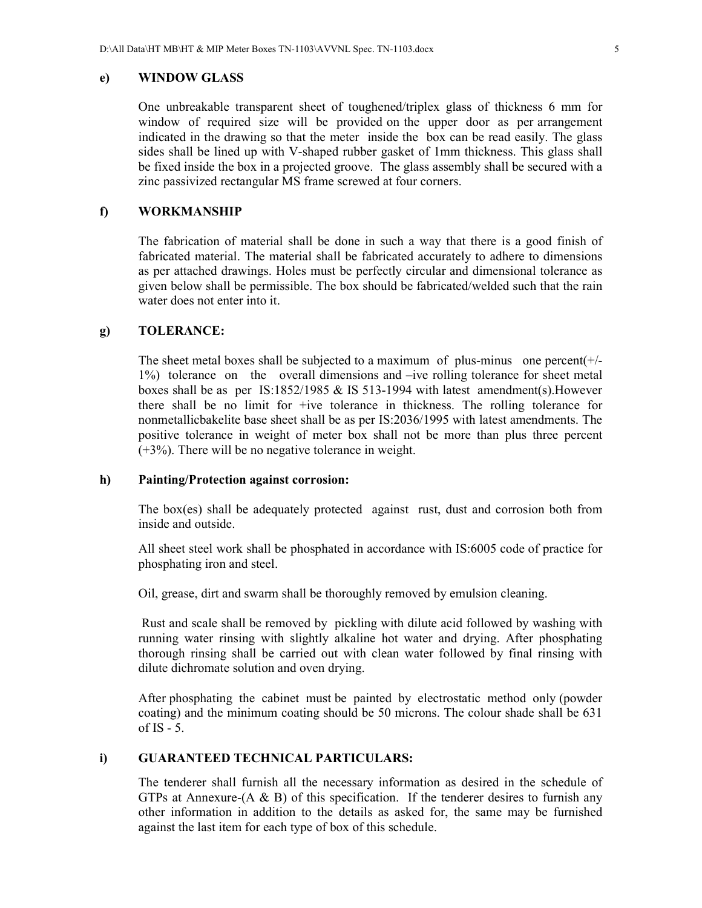#### **e) WINDOW GLASS**

 One unbreakable transparent sheet of toughened/triplex glass of thickness 6 mm for window of required size will be provided on the upper door as per arrangement indicated in the drawing so that the meter inside the box can be read easily. The glass sides shall be lined up with V-shaped rubber gasket of 1mm thickness. This glass shall be fixed inside the box in a projected groove. The glass assembly shall be secured with a zinc passivized rectangular MS frame screwed at four corners.

#### **f) WORKMANSHIP**

 The fabrication of material shall be done in such a way that there is a good finish of fabricated material. The material shall be fabricated accurately to adhere to dimensions as per attached drawings. Holes must be perfectly circular and dimensional tolerance as given below shall be permissible. The box should be fabricated/welded such that the rain water does not enter into it.

#### **g) TOLERANCE:**

The sheet metal boxes shall be subjected to a maximum of plus-minus one percent $(+)$ 1%) tolerance on the overall dimensions and –ive rolling tolerance for sheet metal boxes shall be as per IS:1852/1985 & IS 513-1994 with latest amendment(s).However there shall be no limit for +ive tolerance in thickness. The rolling tolerance for nonmetallicbakelite base sheet shall be as per IS:2036/1995 with latest amendments. The positive tolerance in weight of meter box shall not be more than plus three percent (+3%). There will be no negative tolerance in weight.

#### **h) Painting/Protection against corrosion:**

 The box(es) shall be adequately protected against rust, dust and corrosion both from inside and outside.

 All sheet steel work shall be phosphated in accordance with IS:6005 code of practice for phosphating iron and steel.

Oil, grease, dirt and swarm shall be thoroughly removed by emulsion cleaning.

 Rust and scale shall be removed by pickling with dilute acid followed by washing with running water rinsing with slightly alkaline hot water and drying. After phosphating thorough rinsing shall be carried out with clean water followed by final rinsing with dilute dichromate solution and oven drying.

 After phosphating the cabinet must be painted by electrostatic method only (powder coating) and the minimum coating should be 50 microns. The colour shade shall be 631 of  $IS - 5$ .

#### **i) GUARANTEED TECHNICAL PARTICULARS:**

 The tenderer shall furnish all the necessary information as desired in the schedule of GTPs at Annexure- $(A \& B)$  of this specification. If the tenderer desires to furnish any other information in addition to the details as asked for, the same may be furnished against the last item for each type of box of this schedule.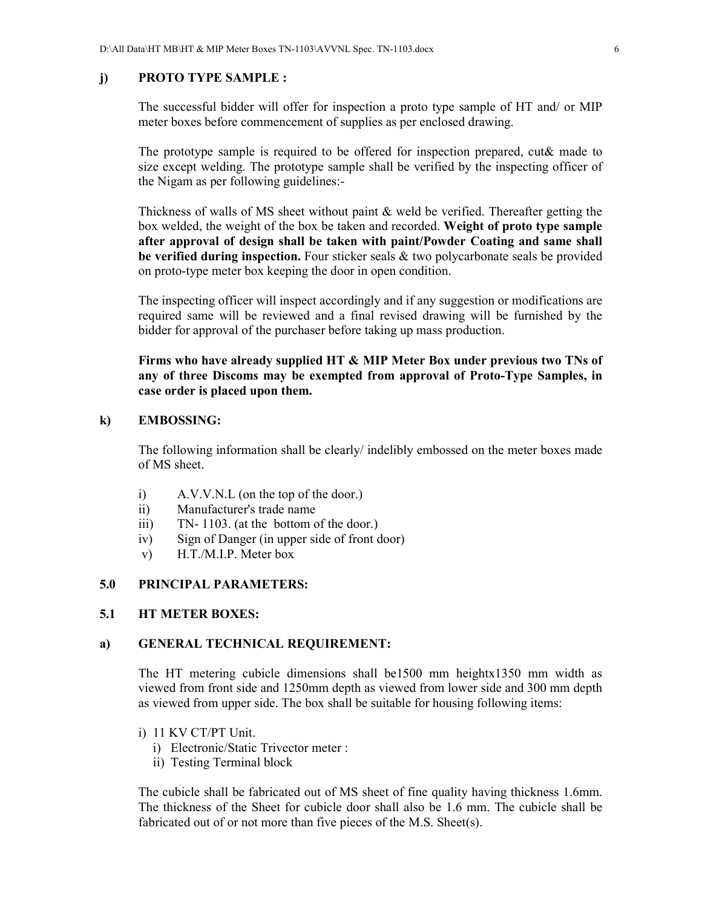#### **j) PROTO TYPE SAMPLE :**

 The successful bidder will offer for inspection a proto type sample of HT and/ or MIP meter boxes before commencement of supplies as per enclosed drawing.

The prototype sample is required to be offered for inspection prepared, cut& made to size except welding. The prototype sample shall be verified by the inspecting officer of the Nigam as per following guidelines:-

Thickness of walls of MS sheet without paint & weld be verified. Thereafter getting the box welded, the weight of the box be taken and recorded. **Weight of proto type sample after approval of design shall be taken with paint/Powder Coating and same shall be verified during inspection.** Four sticker seals & two polycarbonate seals be provided on proto-type meter box keeping the door in open condition.

The inspecting officer will inspect accordingly and if any suggestion or modifications are required same will be reviewed and a final revised drawing will be furnished by the bidder for approval of the purchaser before taking up mass production.

**Firms who have already supplied HT & MIP Meter Box under previous two TNs of any of three Discoms may be exempted from approval of Proto-Type Samples, in case order is placed upon them.** 

#### **k) EMBOSSING:**

 The following information shall be clearly/ indelibly embossed on the meter boxes made of MS sheet.

- i) A.V.V.N.L (on the top of the door.)
- ii) Manufacturer's trade name
- iii) TN- 1103. (at the bottom of the door.)
- iv) Sign of Danger (in upper side of front door)
- v) H.T./M.I.P. Meter box

#### **5.0 PRINCIPAL PARAMETERS:**

#### **5.1 HT METER BOXES:**

#### **a) GENERAL TECHNICAL REQUIREMENT:**

The HT metering cubicle dimensions shall be1500 mm heightx1350 mm width as viewed from front side and 1250mm depth as viewed from lower side and 300 mm depth as viewed from upper side. The box shall be suitable for housing following items:

- i) 11 KV CT/PT Unit.
	- i) Electronic/Static Trivector meter :
	- ii) Testing Terminal block

The cubicle shall be fabricated out of MS sheet of fine quality having thickness 1.6mm. The thickness of the Sheet for cubicle door shall also be 1.6 mm. The cubicle shall be fabricated out of or not more than five pieces of the M.S. Sheet(s).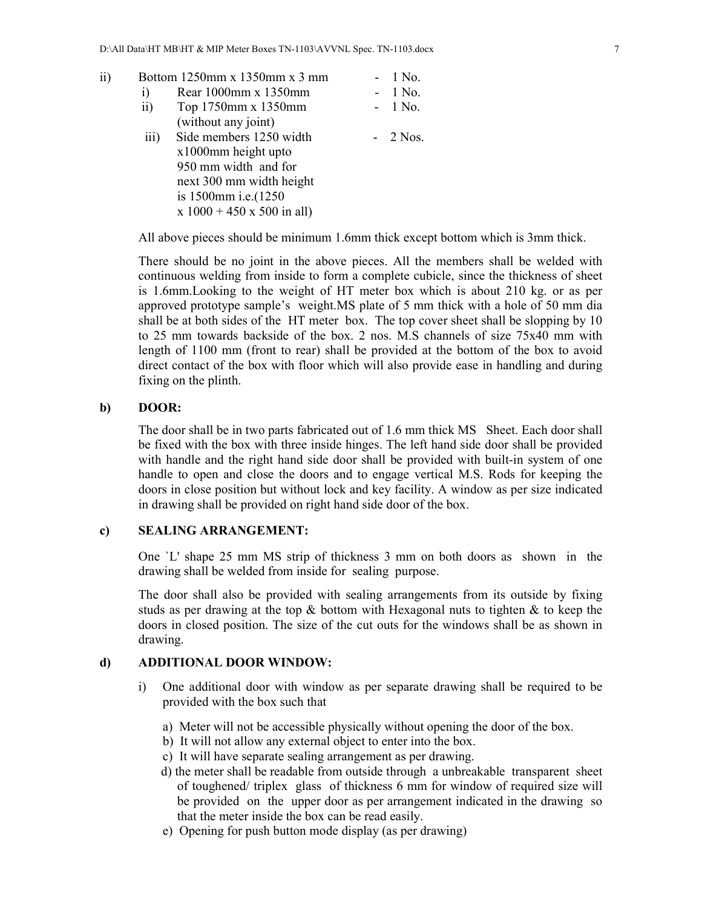ii) Bottom 1250mm x 1350mm x 3 mm - 1 No. i) Rear 1000mm x 1350mm - 1 No. ii) Top 1750mm x 1350mm - 1 No. (without any joint) iii) Side members  $1250$  width -  $2$  Nos. x1000mm height upto 950 mm width and for next 300 mm width height is 1500mm i.e.(1250  $x 1000 + 450 x 500$  in all)

All above pieces should be minimum 1.6mm thick except bottom which is 3mm thick.

There should be no joint in the above pieces. All the members shall be welded with continuous welding from inside to form a complete cubicle, since the thickness of sheet is 1.6mm.Looking to the weight of HT meter box which is about 210 kg. or as per approved prototype sample's weight.MS plate of 5 mm thick with a hole of 50 mm dia shall be at both sides of the HT meter box. The top cover sheet shall be slopping by 10 to 25 mm towards backside of the box. 2 nos. M.S channels of size 75x40 mm with length of 1100 mm (front to rear) shall be provided at the bottom of the box to avoid direct contact of the box with floor which will also provide ease in handling and during fixing on the plinth.

#### **b) DOOR:**

The door shall be in two parts fabricated out of 1.6 mm thick MS Sheet. Each door shall be fixed with the box with three inside hinges. The left hand side door shall be provided with handle and the right hand side door shall be provided with built-in system of one handle to open and close the doors and to engage vertical M.S. Rods for keeping the doors in close position but without lock and key facility. A window as per size indicated in drawing shall be provided on right hand side door of the box.

#### **c) SEALING ARRANGEMENT:**

 One `L' shape 25 mm MS strip of thickness 3 mm on both doors as shown in the drawing shall be welded from inside for sealing purpose.

 The door shall also be provided with sealing arrangements from its outside by fixing studs as per drawing at the top  $\&$  bottom with Hexagonal nuts to tighten  $\&$  to keep the doors in closed position. The size of the cut outs for the windows shall be as shown in drawing.

#### **d) ADDITIONAL DOOR WINDOW:**

- i) One additional door with window as per separate drawing shall be required to be provided with the box such that
	- a) Meter will not be accessible physically without opening the door of the box.
	- b) It will not allow any external object to enter into the box.
	- c) It will have separate sealing arrangement as per drawing.
	- d) the meter shall be readable from outside through a unbreakable transparent sheet of toughened/ triplex glass of thickness 6 mm for window of required size will be provided on the upper door as per arrangement indicated in the drawing so that the meter inside the box can be read easily.
	- e) Opening for push button mode display (as per drawing)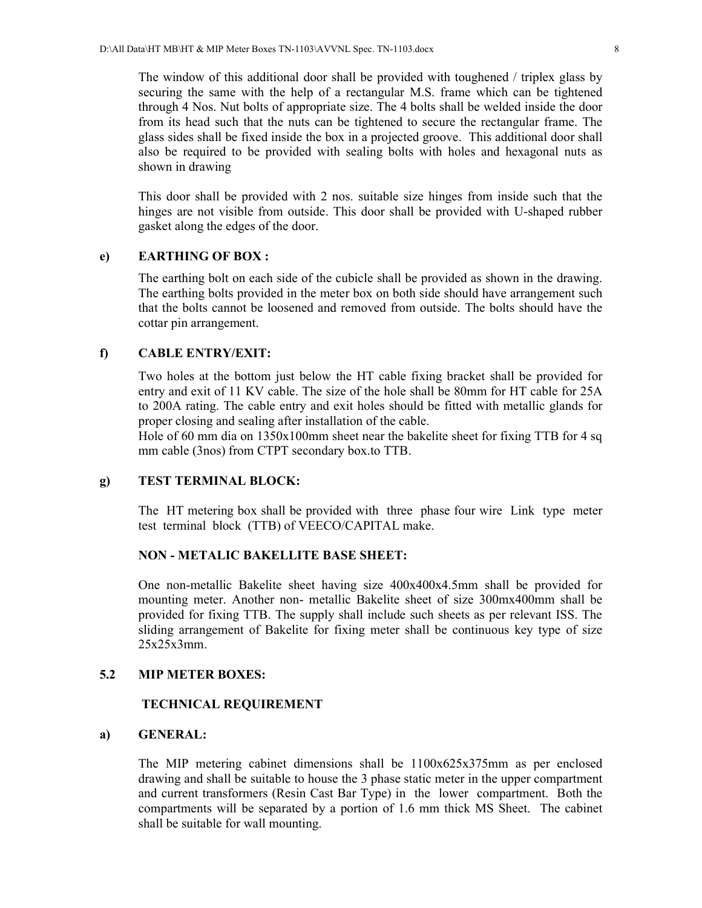The window of this additional door shall be provided with toughened / triplex glass by securing the same with the help of a rectangular M.S. frame which can be tightened through 4 Nos. Nut bolts of appropriate size. The 4 bolts shall be welded inside the door from its head such that the nuts can be tightened to secure the rectangular frame. The glass sides shall be fixed inside the box in a projected groove. This additional door shall also be required to be provided with sealing bolts with holes and hexagonal nuts as shown in drawing

 This door shall be provided with 2 nos. suitable size hinges from inside such that the hinges are not visible from outside. This door shall be provided with U-shaped rubber gasket along the edges of the door.

#### **e) EARTHING OF BOX :**

The earthing bolt on each side of the cubicle shall be provided as shown in the drawing. The earthing bolts provided in the meter box on both side should have arrangement such that the bolts cannot be loosened and removed from outside. The bolts should have the cottar pin arrangement.

#### **f) CABLE ENTRY/EXIT:**

Two holes at the bottom just below the HT cable fixing bracket shall be provided for entry and exit of 11 KV cable. The size of the hole shall be 80mm for HT cable for 25A to 200A rating. The cable entry and exit holes should be fitted with metallic glands for proper closing and sealing after installation of the cable.

 Hole of 60 mm dia on 1350x100mm sheet near the bakelite sheet for fixing TTB for 4 sq mm cable (3nos) from CTPT secondary box.to TTB.

#### **g) TEST TERMINAL BLOCK:**

 The HT metering box shall be provided with three phase four wire Link type meter test terminal block (TTB) of VEECO/CAPITAL make.

#### **NON - METALIC BAKELLITE BASE SHEET:**

One non-metallic Bakelite sheet having size 400x400x4.5mm shall be provided for mounting meter. Another non- metallic Bakelite sheet of size 300mx400mm shall be provided for fixing TTB. The supply shall include such sheets as per relevant ISS. The sliding arrangement of Bakelite for fixing meter shall be continuous key type of size 25x25x3mm.

#### **5.2 MIP METER BOXES:**

#### **TECHNICAL REQUIREMENT**

#### **a) GENERAL:**

 The MIP metering cabinet dimensions shall be 1100x625x375mm as per enclosed drawing and shall be suitable to house the 3 phase static meter in the upper compartment and current transformers (Resin Cast Bar Type) in the lower compartment. Both the compartments will be separated by a portion of 1.6 mm thick MS Sheet. The cabinet shall be suitable for wall mounting.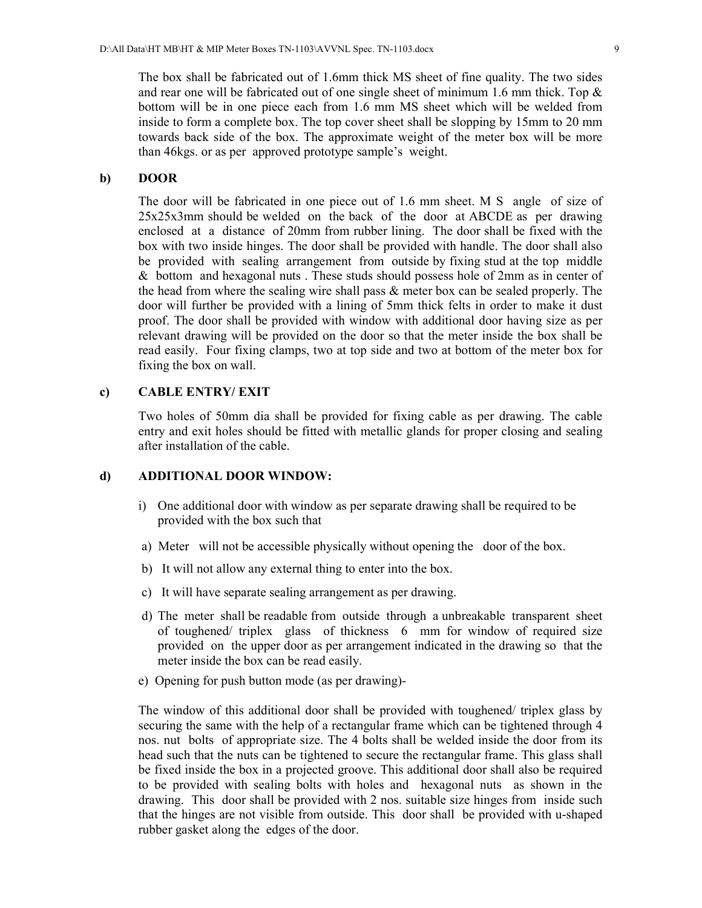The box shall be fabricated out of 1.6mm thick MS sheet of fine quality. The two sides and rear one will be fabricated out of one single sheet of minimum 1.6 mm thick. Top  $\&$ bottom will be in one piece each from 1.6 mm MS sheet which will be welded from inside to form a complete box. The top cover sheet shall be slopping by 15mm to 20 mm towards back side of the box. The approximate weight of the meter box will be more than 46kgs. or as per approved prototype sample's weight.

#### **b) DOOR**

The door will be fabricated in one piece out of 1.6 mm sheet. M S angle of size of 25x25x3mm should be welded on the back of the door at ABCDE as per drawing enclosed at a distance of 20mm from rubber lining. The door shall be fixed with the box with two inside hinges. The door shall be provided with handle. The door shall also be provided with sealing arrangement from outside by fixing stud at the top middle & bottom and hexagonal nuts . These studs should possess hole of 2mm as in center of the head from where the sealing wire shall pass & meter box can be sealed properly. The door will further be provided with a lining of 5mm thick felts in order to make it dust proof. The door shall be provided with window with additional door having size as per relevant drawing will be provided on the door so that the meter inside the box shall be read easily. Four fixing clamps, two at top side and two at bottom of the meter box for fixing the box on wall.

### **c) CABLE ENTRY/ EXIT**

Two holes of 50mm dia shall be provided for fixing cable as per drawing. The cable entry and exit holes should be fitted with metallic glands for proper closing and sealing after installation of the cable.

### **d) ADDITIONAL DOOR WINDOW:**

- i) One additional door with window as per separate drawing shall be required to be provided with the box such that
- a) Meter will not be accessible physically without opening the door of the box.
- b) It will not allow any external thing to enter into the box.
- c) It will have separate sealing arrangement as per drawing.
- d) The meter shall be readable from outside through a unbreakable transparent sheet of toughened/ triplex glass of thickness 6 mm for window of required size provided on the upper door as per arrangement indicated in the drawing so that the meter inside the box can be read easily.
- e) Opening for push button mode (as per drawing)-

The window of this additional door shall be provided with toughened/ triplex glass by securing the same with the help of a rectangular frame which can be tightened through 4 nos. nut bolts of appropriate size. The 4 bolts shall be welded inside the door from its head such that the nuts can be tightened to secure the rectangular frame. This glass shall be fixed inside the box in a projected groove. This additional door shall also be required to be provided with sealing bolts with holes and hexagonal nuts as shown in the drawing. This door shall be provided with 2 nos. suitable size hinges from inside such that the hinges are not visible from outside. This door shall be provided with u-shaped rubber gasket along the edges of the door.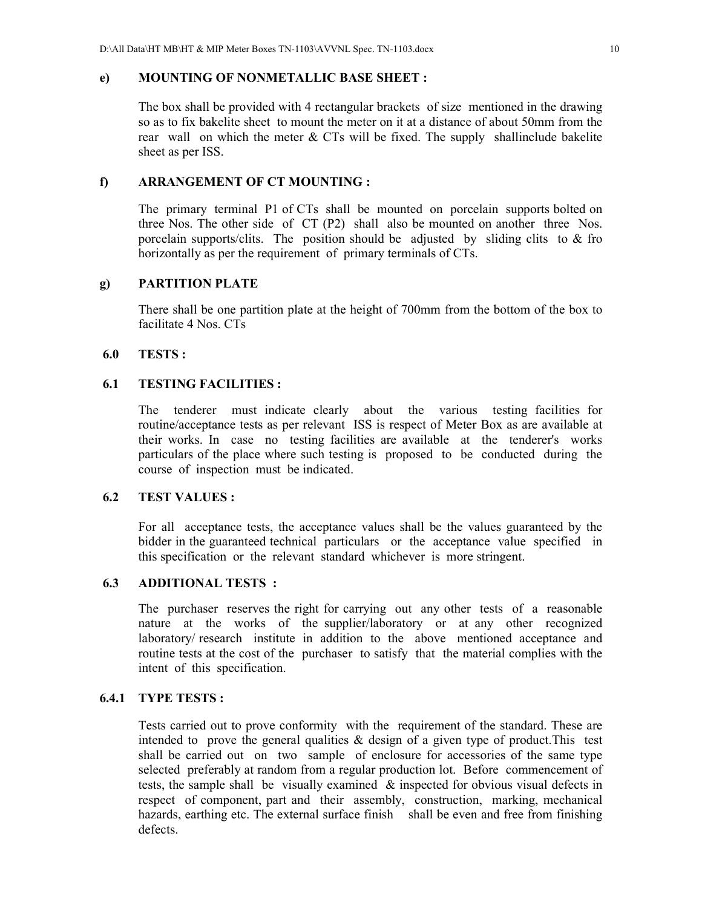#### **e) MOUNTING OF NONMETALLIC BASE SHEET :**

 The box shall be provided with 4 rectangular brackets of size mentioned in the drawing so as to fix bakelite sheet to mount the meter on it at a distance of about 50mm from the rear wall on which the meter & CTs will be fixed. The supply shallinclude bakelite sheet as per ISS.

#### **f) ARRANGEMENT OF CT MOUNTING :**

The primary terminal P1 of CTs shall be mounted on porcelain supports bolted on three Nos. The other side of CT (P2) shall also be mounted on another three Nos. porcelain supports/clits. The position should be adjusted by sliding clits to & fro horizontally as per the requirement of primary terminals of CTs.

### **g) PARTITION PLATE**

There shall be one partition plate at the height of 700mm from the bottom of the box to facilitate 4 Nos. CTs

### **6.0 TESTS :**

#### **6.1 TESTING FACILITIES :**

 The tenderer must indicate clearly about the various testing facilities for routine/acceptance tests as per relevant ISS is respect of Meter Box as are available at their works. In case no testing facilities are available at the tenderer's works particulars of the place where such testing is proposed to be conducted during the course of inspection must be indicated.

#### **6.2 TEST VALUES :**

For all acceptance tests, the acceptance values shall be the values guaranteed by the bidder in the guaranteed technical particulars or the acceptance value specified in this specification or the relevant standard whichever is more stringent.

#### **6.3 ADDITIONAL TESTS :**

 The purchaser reserves the right for carrying out any other tests of a reasonable nature at the works of the supplier/laboratory or at any other recognized laboratory/ research institute in addition to the above mentioned acceptance and routine tests at the cost of the purchaser to satisfy that the material complies with the intent of this specification.

#### **6.4.1 TYPE TESTS :**

Tests carried out to prove conformity with the requirement of the standard. These are intended to prove the general qualities  $\&$  design of a given type of product. This test shall be carried out on two sample of enclosure for accessories of the same type selected preferably at random from a regular production lot. Before commencement of tests, the sample shall be visually examined  $\&$  inspected for obvious visual defects in respect of component, part and their assembly, construction, marking, mechanical hazards, earthing etc. The external surface finish shall be even and free from finishing defects.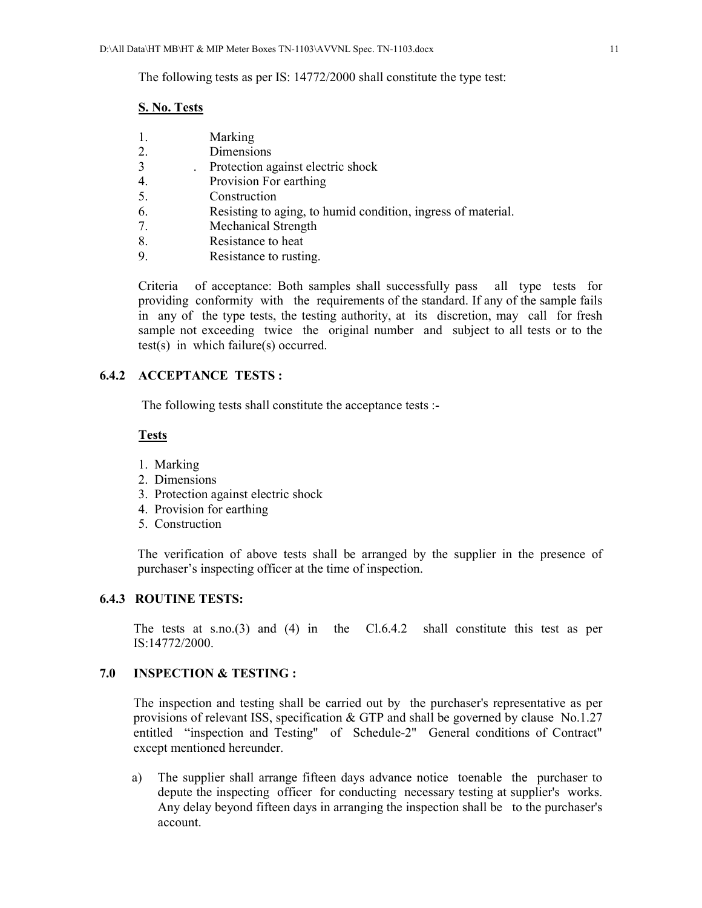The following tests as per IS: 14772/2000 shall constitute the type test:

#### **S. No. Tests**

- 1. Marking
- 2. Dimensions
- 3 . Protection against electric shock
- 4. Provision For earthing
- 5. Construction
- 6. Resisting to aging, to humid condition, ingress of material.
- 7. Mechanical Strength
- 8. Resistance to heat
- 9. Resistance to rusting.

Criteria of acceptance: Both samples shall successfully pass all type tests for providing conformity with the requirements of the standard. If any of the sample fails in any of the type tests, the testing authority, at its discretion, may call for fresh sample not exceeding twice the original number and subject to all tests or to the test(s) in which failure(s) occurred.

### **6.4.2 ACCEPTANCE TESTS :**

The following tests shall constitute the acceptance tests :-

#### **Tests**

- 1. Marking
- 2. Dimensions
- 3. Protection against electric shock
- 4. Provision for earthing
- 5. Construction

The verification of above tests shall be arranged by the supplier in the presence of purchaser's inspecting officer at the time of inspection.

#### **6.4.3 ROUTINE TESTS:**

The tests at s.no.(3) and (4) in the Cl.6.4.2 shall constitute this test as per IS:14772/2000.

#### **7.0 INSPECTION & TESTING :**

The inspection and testing shall be carried out by the purchaser's representative as per provisions of relevant ISS, specification & GTP and shall be governed by clause No.1.27 entitled "inspection and Testing" of Schedule-2" General conditions of Contract" except mentioned hereunder.

 a) The supplier shall arrange fifteen days advance notice toenable the purchaser to depute the inspecting officer for conducting necessary testing at supplier's works. Any delay beyond fifteen days in arranging the inspection shall be to the purchaser's account.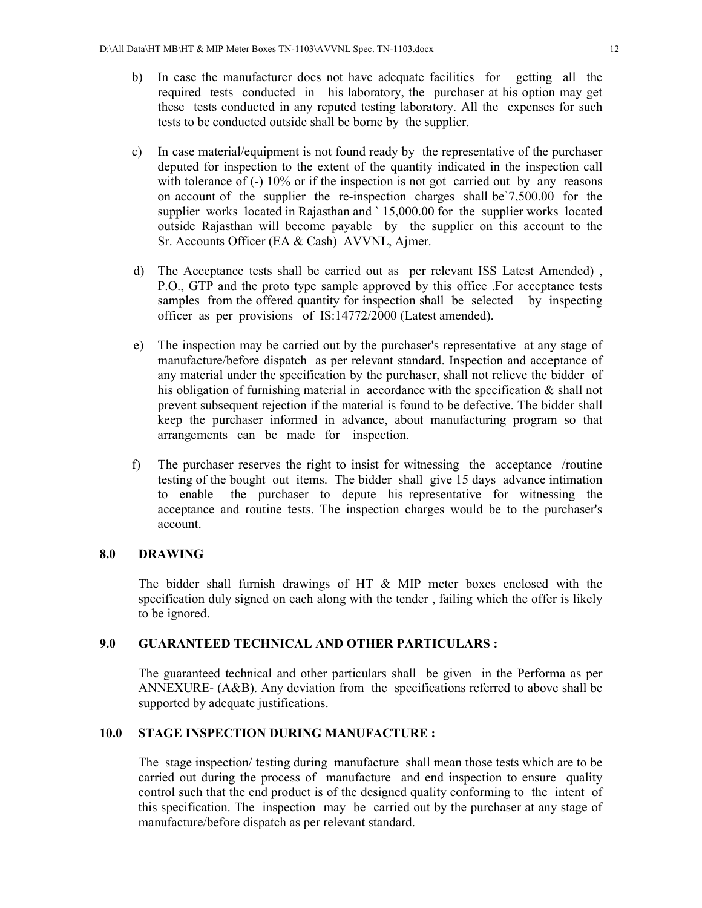- b) In case the manufacturer does not have adequate facilities for getting all the required tests conducted in his laboratory, the purchaser at his option may get these tests conducted in any reputed testing laboratory. All the expenses for such tests to be conducted outside shall be borne by the supplier.
- c) In case material/equipment is not found ready by the representative of the purchaser deputed for inspection to the extent of the quantity indicated in the inspection call with tolerance of (-) 10% or if the inspection is not got carried out by any reasons on account of the supplier the re-inspection charges shall be`7,500.00 for the supplier works located in Rajasthan and ` 15,000.00 for the supplier works located outside Rajasthan will become payable by the supplier on this account to the Sr. Accounts Officer (EA & Cash) AVVNL, Ajmer.
- d) The Acceptance tests shall be carried out as per relevant ISS Latest Amended) , P.O., GTP and the proto type sample approved by this office .For acceptance tests samples from the offered quantity for inspection shall be selected by inspecting officer as per provisions of IS:14772/2000 (Latest amended).
- e) The inspection may be carried out by the purchaser's representative at any stage of manufacture/before dispatch as per relevant standard. Inspection and acceptance of any material under the specification by the purchaser, shall not relieve the bidder of his obligation of furnishing material in accordance with the specification  $\&$  shall not prevent subsequent rejection if the material is found to be defective. The bidder shall keep the purchaser informed in advance, about manufacturing program so that arrangements can be made for inspection.
- f) The purchaser reserves the right to insist for witnessing the acceptance /routine testing of the bought out items. The bidder shall give 15 days advance intimation to enable the purchaser to depute his representative for witnessing the acceptance and routine tests. The inspection charges would be to the purchaser's account.

#### **8.0 DRAWING**

The bidder shall furnish drawings of HT & MIP meter boxes enclosed with the specification duly signed on each along with the tender , failing which the offer is likely to be ignored.

#### **9.0 GUARANTEED TECHNICAL AND OTHER PARTICULARS :**

 The guaranteed technical and other particulars shall be given in the Performa as per ANNEXURE- (A&B). Any deviation from the specifications referred to above shall be supported by adequate justifications.

#### **10.0 STAGE INSPECTION DURING MANUFACTURE :**

 The stage inspection/ testing during manufacture shall mean those tests which are to be carried out during the process of manufacture and end inspection to ensure quality control such that the end product is of the designed quality conforming to the intent of this specification. The inspection may be carried out by the purchaser at any stage of manufacture/before dispatch as per relevant standard.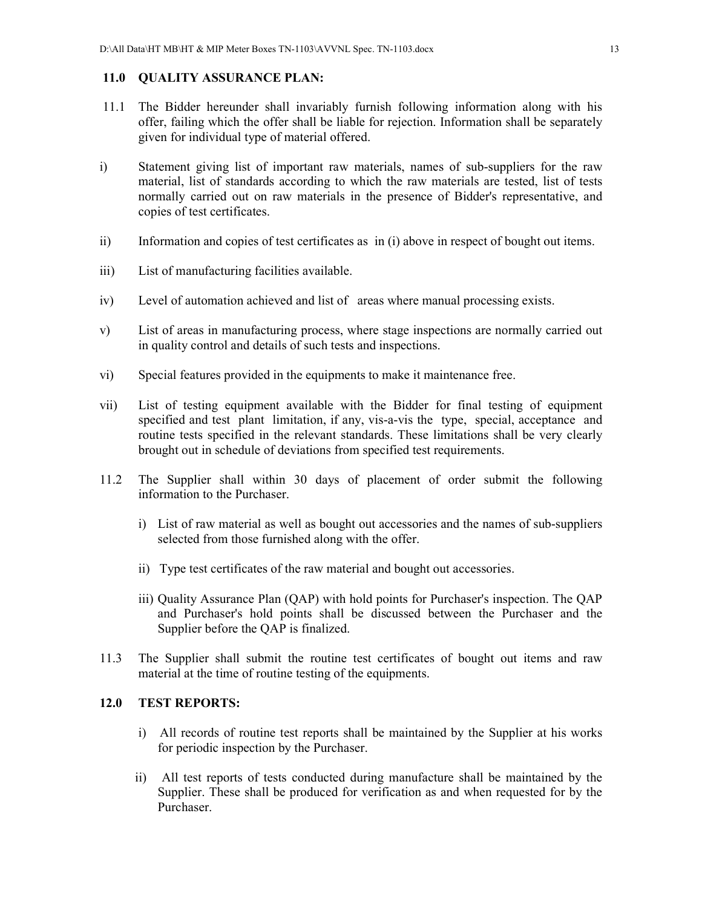### **11.0 QUALITY ASSURANCE PLAN:**

- 11.1 The Bidder hereunder shall invariably furnish following information along with his offer, failing which the offer shall be liable for rejection. Information shall be separately given for individual type of material offered.
- i) Statement giving list of important raw materials, names of sub-suppliers for the raw material, list of standards according to which the raw materials are tested, list of tests normally carried out on raw materials in the presence of Bidder's representative, and copies of test certificates.
- ii) Information and copies of test certificates as in (i) above in respect of bought out items.
- iii) List of manufacturing facilities available.
- iv) Level of automation achieved and list of areas where manual processing exists.
- v) List of areas in manufacturing process, where stage inspections are normally carried out in quality control and details of such tests and inspections.
- vi) Special features provided in the equipments to make it maintenance free.
- vii) List of testing equipment available with the Bidder for final testing of equipment specified and test plant limitation, if any, vis-a-vis the type, special, acceptance and routine tests specified in the relevant standards. These limitations shall be very clearly brought out in schedule of deviations from specified test requirements.
- 11.2 The Supplier shall within 30 days of placement of order submit the following information to the Purchaser.
	- i) List of raw material as well as bought out accessories and the names of sub-suppliers selected from those furnished along with the offer.
	- ii) Type test certificates of the raw material and bought out accessories.
	- iii) Quality Assurance Plan (QAP) with hold points for Purchaser's inspection. The QAP and Purchaser's hold points shall be discussed between the Purchaser and the Supplier before the QAP is finalized.
- 11.3 The Supplier shall submit the routine test certificates of bought out items and raw material at the time of routine testing of the equipments.

### **12.0 TEST REPORTS:**

- i) All records of routine test reports shall be maintained by the Supplier at his works for periodic inspection by the Purchaser.
- ii) All test reports of tests conducted during manufacture shall be maintained by the Supplier. These shall be produced for verification as and when requested for by the Purchaser.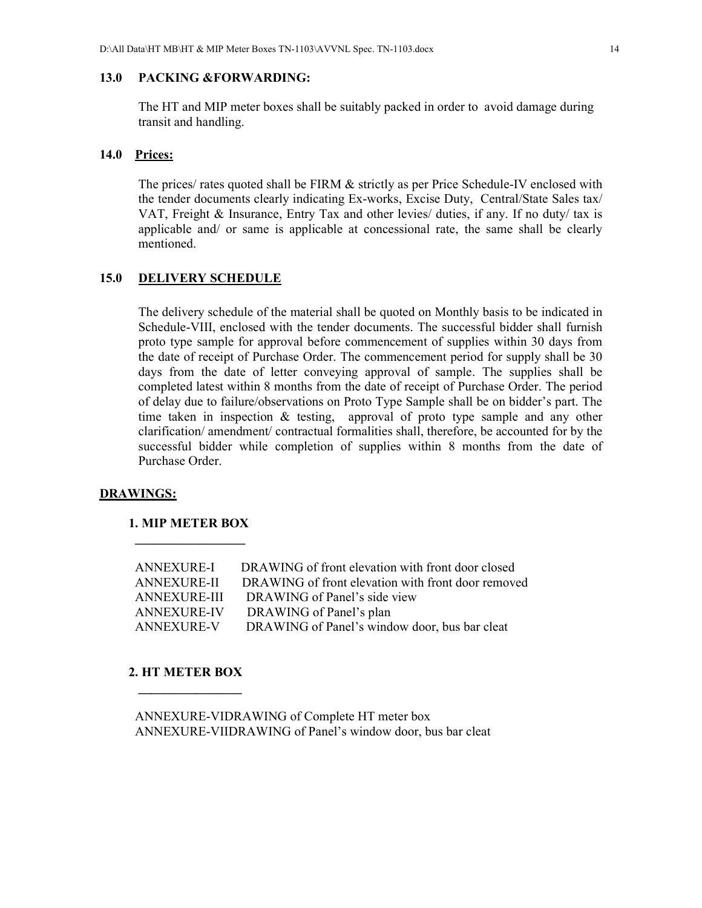#### **13.0 PACKING &FORWARDING:**

The HT and MIP meter boxes shall be suitably packed in order to avoid damage during transit and handling.

#### **14.0 Prices:**

The prices/ rates quoted shall be FIRM & strictly as per Price Schedule-IV enclosed with the tender documents clearly indicating Ex-works, Excise Duty, Central/State Sales tax/ VAT, Freight & Insurance, Entry Tax and other levies/ duties, if any. If no duty/ tax is applicable and/ or same is applicable at concessional rate, the same shall be clearly mentioned.

#### **15.0 DELIVERY SCHEDULE**

The delivery schedule of the material shall be quoted on Monthly basis to be indicated in Schedule-VIII, enclosed with the tender documents. The successful bidder shall furnish proto type sample for approval before commencement of supplies within 30 days from the date of receipt of Purchase Order. The commencement period for supply shall be 30 days from the date of letter conveying approval of sample. The supplies shall be completed latest within 8 months from the date of receipt of Purchase Order. The period of delay due to failure/observations on Proto Type Sample shall be on bidder's part. The time taken in inspection & testing, approval of proto type sample and any other clarification/ amendment/ contractual formalities shall, therefore, be accounted for by the successful bidder while completion of supplies within 8 months from the date of Purchase Order.

#### **DRAWINGS:**

#### **1. MIP METER BOX**

 **\_\_\_\_\_\_\_\_\_\_\_\_\_\_\_\_\_** 

| ANNEXURE-I         | DRAWING of front elevation with front door closed  |
|--------------------|----------------------------------------------------|
| ANNEXURE-II        | DRAWING of front elevation with front door removed |
| ANNEXURE-III       | DRAWING of Panel's side view                       |
| <b>ANNEXURE-IV</b> | DRAWING of Panel's plan                            |
| <b>ANNEXURE-V</b>  | DRAWING of Panel's window door, bus bar cleat      |
|                    |                                                    |

#### **2. HT METER BOX**

 **\_\_\_\_\_\_\_\_\_\_\_\_\_\_\_\_** 

 ANNEXURE-VIDRAWING of Complete HT meter box ANNEXURE-VIIDRAWING of Panel's window door, bus bar cleat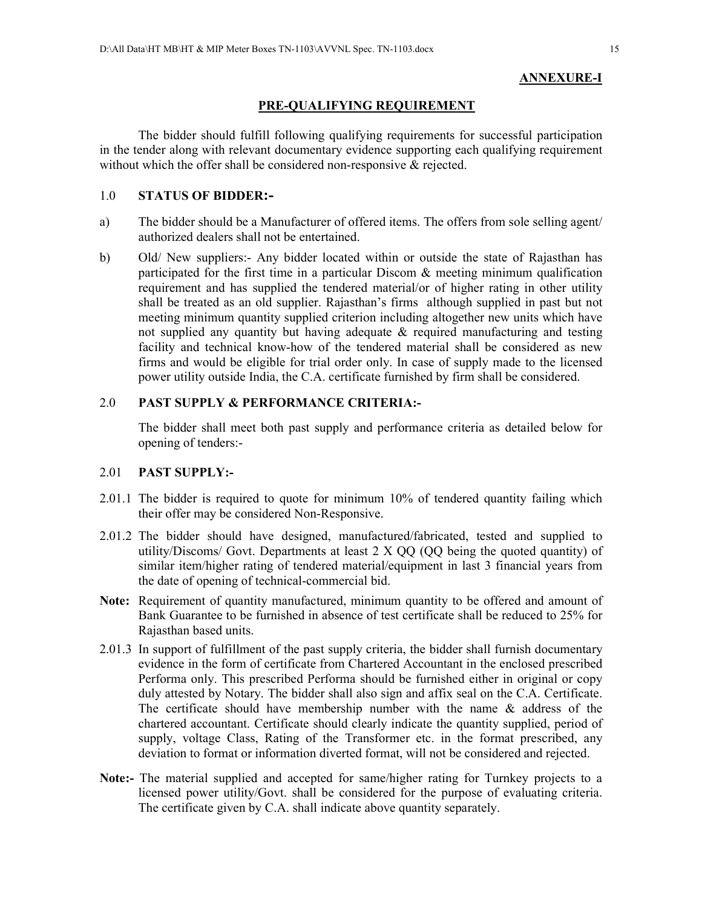#### **ANNEXURE-I**

#### **PRE-QUALIFYING REQUIREMENT**

The bidder should fulfill following qualifying requirements for successful participation in the tender along with relevant documentary evidence supporting each qualifying requirement without which the offer shall be considered non-responsive & rejected.

#### 1.0 **STATUS OF BIDDER:-**

- a) The bidder should be a Manufacturer of offered items. The offers from sole selling agent/ authorized dealers shall not be entertained.
- b) Old/ New suppliers:- Any bidder located within or outside the state of Rajasthan has participated for the first time in a particular Discom & meeting minimum qualification requirement and has supplied the tendered material/or of higher rating in other utility shall be treated as an old supplier. Rajasthan's firms although supplied in past but not meeting minimum quantity supplied criterion including altogether new units which have not supplied any quantity but having adequate & required manufacturing and testing facility and technical know-how of the tendered material shall be considered as new firms and would be eligible for trial order only. In case of supply made to the licensed power utility outside India, the C.A. certificate furnished by firm shall be considered.

### 2.0 **PAST SUPPLY & PERFORMANCE CRITERIA:-**

The bidder shall meet both past supply and performance criteria as detailed below for opening of tenders:-

#### 2.01 **PAST SUPPLY:-**

- 2.01.1 The bidder is required to quote for minimum 10% of tendered quantity failing which their offer may be considered Non-Responsive.
- 2.01.2 The bidder should have designed, manufactured/fabricated, tested and supplied to utility/Discoms/ Govt. Departments at least 2 X QQ (QQ being the quoted quantity) of similar item/higher rating of tendered material/equipment in last 3 financial years from the date of opening of technical-commercial bid.
- **Note:** Requirement of quantity manufactured, minimum quantity to be offered and amount of Bank Guarantee to be furnished in absence of test certificate shall be reduced to 25% for Rajasthan based units.
- 2.01.3 In support of fulfillment of the past supply criteria, the bidder shall furnish documentary evidence in the form of certificate from Chartered Accountant in the enclosed prescribed Performa only. This prescribed Performa should be furnished either in original or copy duly attested by Notary. The bidder shall also sign and affix seal on the C.A. Certificate. The certificate should have membership number with the name  $\&$  address of the chartered accountant. Certificate should clearly indicate the quantity supplied, period of supply, voltage Class, Rating of the Transformer etc. in the format prescribed, any deviation to format or information diverted format, will not be considered and rejected.
- **Note:-** The material supplied and accepted for same/higher rating for Turnkey projects to a licensed power utility/Govt. shall be considered for the purpose of evaluating criteria. The certificate given by C.A. shall indicate above quantity separately.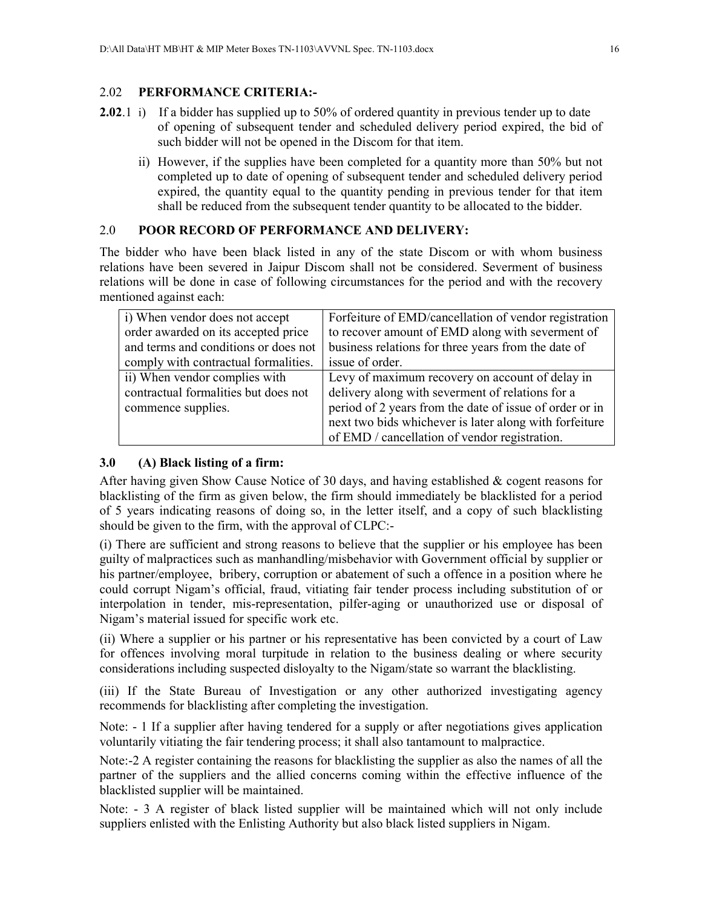### 2.02 **PERFORMANCE CRITERIA:-**

- **2.02**.1 i) If a bidder has supplied up to 50% of ordered quantity in previous tender up to date of opening of subsequent tender and scheduled delivery period expired, the bid of such bidder will not be opened in the Discom for that item.
	- ii) However, if the supplies have been completed for a quantity more than 50% but not completed up to date of opening of subsequent tender and scheduled delivery period expired, the quantity equal to the quantity pending in previous tender for that item shall be reduced from the subsequent tender quantity to be allocated to the bidder.

#### 2.0 **POOR RECORD OF PERFORMANCE AND DELIVERY:**

The bidder who have been black listed in any of the state Discom or with whom business relations have been severed in Jaipur Discom shall not be considered. Severment of business relations will be done in case of following circumstances for the period and with the recovery mentioned against each:

| i) When vendor does not accept       | Forfeiture of EMD/cancellation of vendor registration   |
|--------------------------------------|---------------------------------------------------------|
| order awarded on its accepted price  | to recover amount of EMD along with severment of        |
| and terms and conditions or does not | business relations for three years from the date of     |
| comply with contractual formalities. | issue of order.                                         |
| ii) When vendor complies with        | Levy of maximum recovery on account of delay in         |
| contractual formalities but does not | delivery along with severment of relations for a        |
| commence supplies.                   | period of 2 years from the date of issue of order or in |
|                                      | next two bids whichever is later along with forfeiture  |
|                                      | of EMD / cancellation of vendor registration.           |

#### **3.0 (A) Black listing of a firm:**

After having given Show Cause Notice of 30 days, and having established & cogent reasons for blacklisting of the firm as given below, the firm should immediately be blacklisted for a period of 5 years indicating reasons of doing so, in the letter itself, and a copy of such blacklisting should be given to the firm, with the approval of CLPC:-

(i) There are sufficient and strong reasons to believe that the supplier or his employee has been guilty of malpractices such as manhandling/misbehavior with Government official by supplier or his partner/employee, bribery, corruption or abatement of such a offence in a position where he could corrupt Nigam's official, fraud, vitiating fair tender process including substitution of or interpolation in tender, mis-representation, pilfer-aging or unauthorized use or disposal of Nigam's material issued for specific work etc.

(ii) Where a supplier or his partner or his representative has been convicted by a court of Law for offences involving moral turpitude in relation to the business dealing or where security considerations including suspected disloyalty to the Nigam/state so warrant the blacklisting.

(iii) If the State Bureau of Investigation or any other authorized investigating agency recommends for blacklisting after completing the investigation.

Note: - 1 If a supplier after having tendered for a supply or after negotiations gives application voluntarily vitiating the fair tendering process; it shall also tantamount to malpractice.

Note:-2 A register containing the reasons for blacklisting the supplier as also the names of all the partner of the suppliers and the allied concerns coming within the effective influence of the blacklisted supplier will be maintained.

Note: - 3 A register of black listed supplier will be maintained which will not only include suppliers enlisted with the Enlisting Authority but also black listed suppliers in Nigam.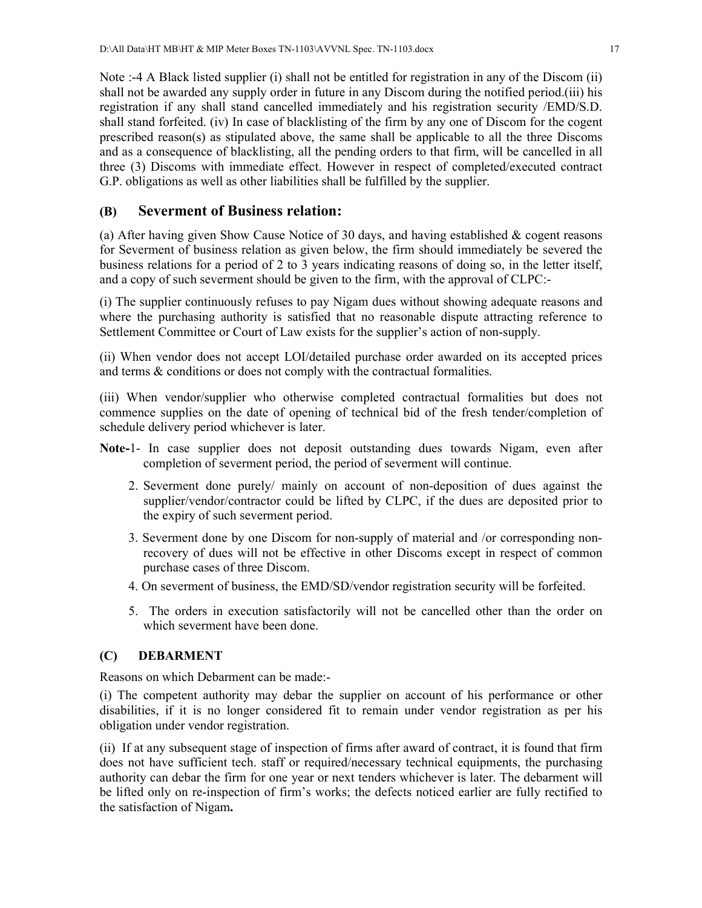Note :-4 A Black listed supplier (i) shall not be entitled for registration in any of the Discom (ii) shall not be awarded any supply order in future in any Discom during the notified period.(iii) his registration if any shall stand cancelled immediately and his registration security /EMD/S.D. shall stand forfeited. (iv) In case of blacklisting of the firm by any one of Discom for the cogent prescribed reason(s) as stipulated above, the same shall be applicable to all the three Discoms and as a consequence of blacklisting, all the pending orders to that firm, will be cancelled in all three (3) Discoms with immediate effect. However in respect of completed/executed contract G.P. obligations as well as other liabilities shall be fulfilled by the supplier.

### **(B) Severment of Business relation:**

(a) After having given Show Cause Notice of 30 days, and having established  $\&$  cogent reasons for Severment of business relation as given below, the firm should immediately be severed the business relations for a period of 2 to 3 years indicating reasons of doing so, in the letter itself, and a copy of such severment should be given to the firm, with the approval of CLPC:-

(i) The supplier continuously refuses to pay Nigam dues without showing adequate reasons and where the purchasing authority is satisfied that no reasonable dispute attracting reference to Settlement Committee or Court of Law exists for the supplier's action of non-supply.

(ii) When vendor does not accept LOI/detailed purchase order awarded on its accepted prices and terms & conditions or does not comply with the contractual formalities.

(iii) When vendor/supplier who otherwise completed contractual formalities but does not commence supplies on the date of opening of technical bid of the fresh tender/completion of schedule delivery period whichever is later.

- **Note-**1- In case supplier does not deposit outstanding dues towards Nigam, even after completion of severment period, the period of severment will continue.
	- 2. Severment done purely/ mainly on account of non-deposition of dues against the supplier/vendor/contractor could be lifted by CLPC, if the dues are deposited prior to the expiry of such severment period.
	- 3. Severment done by one Discom for non-supply of material and /or corresponding nonrecovery of dues will not be effective in other Discoms except in respect of common purchase cases of three Discom.
	- 4. On severment of business, the EMD/SD/vendor registration security will be forfeited.
	- 5. The orders in execution satisfactorily will not be cancelled other than the order on which severment have been done.

#### **(C) DEBARMENT**

Reasons on which Debarment can be made:-

(i) The competent authority may debar the supplier on account of his performance or other disabilities, if it is no longer considered fit to remain under vendor registration as per his obligation under vendor registration.

(ii) If at any subsequent stage of inspection of firms after award of contract, it is found that firm does not have sufficient tech. staff or required/necessary technical equipments, the purchasing authority can debar the firm for one year or next tenders whichever is later. The debarment will be lifted only on re-inspection of firm's works; the defects noticed earlier are fully rectified to the satisfaction of Nigam**.**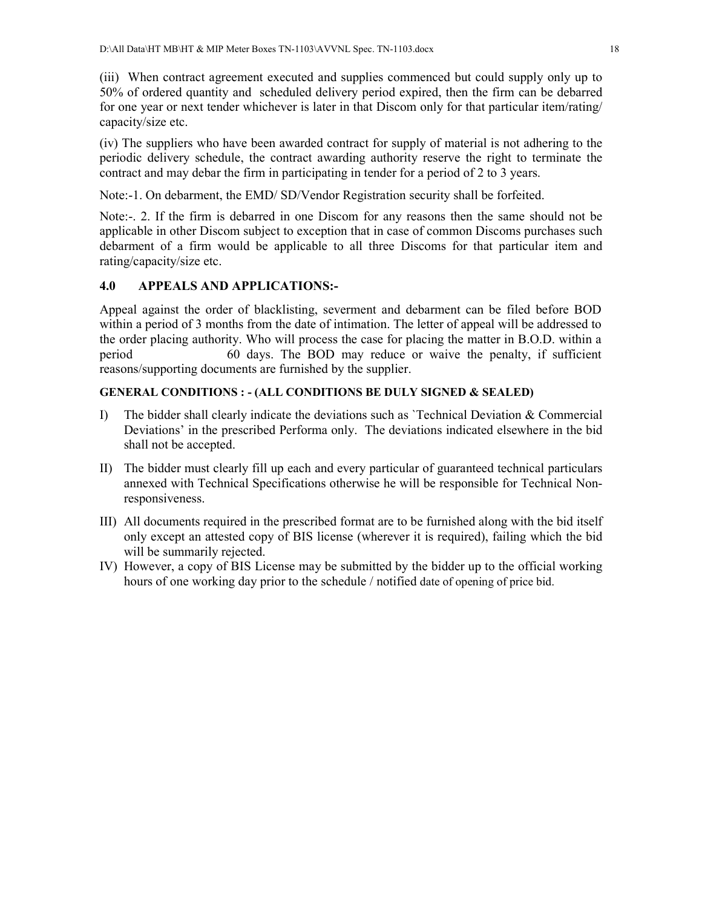(iii) When contract agreement executed and supplies commenced but could supply only up to 50% of ordered quantity and scheduled delivery period expired, then the firm can be debarred for one year or next tender whichever is later in that Discom only for that particular item/rating/ capacity/size etc.

(iv) The suppliers who have been awarded contract for supply of material is not adhering to the periodic delivery schedule, the contract awarding authority reserve the right to terminate the contract and may debar the firm in participating in tender for a period of 2 to 3 years.

Note:-1. On debarment, the EMD/ SD/Vendor Registration security shall be forfeited.

Note:-. 2. If the firm is debarred in one Discom for any reasons then the same should not be applicable in other Discom subject to exception that in case of common Discoms purchases such debarment of a firm would be applicable to all three Discoms for that particular item and rating/capacity/size etc.

### **4.0 APPEALS AND APPLICATIONS:-**

Appeal against the order of blacklisting, severment and debarment can be filed before BOD within a period of 3 months from the date of intimation. The letter of appeal will be addressed to the order placing authority. Who will process the case for placing the matter in B.O.D. within a period 60 days. The BOD may reduce or waive the penalty, if sufficient reasons/supporting documents are furnished by the supplier.

#### **GENERAL CONDITIONS : - (ALL CONDITIONS BE DULY SIGNED & SEALED)**

- I) The bidder shall clearly indicate the deviations such as 'Technical Deviation  $\&$  Commercial Deviations' in the prescribed Performa only. The deviations indicated elsewhere in the bid shall not be accepted.
- II) The bidder must clearly fill up each and every particular of guaranteed technical particulars annexed with Technical Specifications otherwise he will be responsible for Technical Nonresponsiveness.
- III) All documents required in the prescribed format are to be furnished along with the bid itself only except an attested copy of BIS license (wherever it is required), failing which the bid will be summarily rejected.
- IV) However, a copy of BIS License may be submitted by the bidder up to the official working hours of one working day prior to the schedule / notified date of opening of price bid.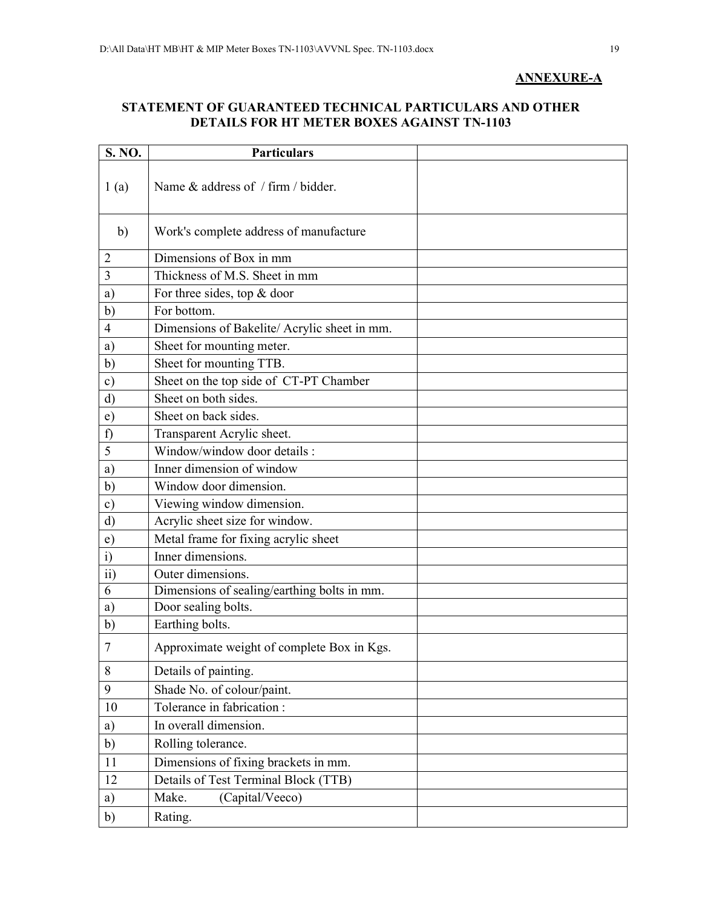### **ANNEXURE-A**

### **STATEMENT OF GUARANTEED TECHNICAL PARTICULARS AND OTHER DETAILS FOR HT METER BOXES AGAINST TN-1103**

| S. NO.          | <b>Particulars</b>                          |  |
|-----------------|---------------------------------------------|--|
| 1(a)            | Name & address of / firm / bidder.          |  |
| b)              | Work's complete address of manufacture      |  |
| $\overline{2}$  | Dimensions of Box in mm                     |  |
| 3               | Thickness of M.S. Sheet in mm               |  |
| a)              | For three sides, top $&$ door               |  |
| b)              | For bottom.                                 |  |
| $\overline{4}$  | Dimensions of Bakelite/Acrylic sheet in mm. |  |
| a)              | Sheet for mounting meter.                   |  |
| b)              | Sheet for mounting TTB.                     |  |
| $\circ$ )       | Sheet on the top side of CT-PT Chamber      |  |
| $\rm d$         | Sheet on both sides.                        |  |
| e)              | Sheet on back sides.                        |  |
| f)              | Transparent Acrylic sheet.                  |  |
| 5               | Window/window door details :                |  |
| a)              | Inner dimension of window                   |  |
| b)              | Window door dimension.                      |  |
| $\mathbf{c})$   | Viewing window dimension.                   |  |
| $\mathbf{d}$    | Acrylic sheet size for window.              |  |
| e)              | Metal frame for fixing acrylic sheet        |  |
| $\ddot{i}$      | Inner dimensions.                           |  |
| $\overline{11}$ | Outer dimensions.                           |  |
| 6               | Dimensions of sealing/earthing bolts in mm. |  |
| a)              | Door sealing bolts.                         |  |
| b)              | Earthing bolts.                             |  |
| 7               | Approximate weight of complete Box in Kgs.  |  |
| $8\,$           | Details of painting.                        |  |
| 9               | Shade No. of colour/paint.                  |  |
| 10              | Tolerance in fabrication :                  |  |
| a)              | In overall dimension.                       |  |
| b)              | Rolling tolerance.                          |  |
| 11              | Dimensions of fixing brackets in mm.        |  |
| 12              | Details of Test Terminal Block (TTB)        |  |
| a)              | Make.<br>(Capital/Veeco)                    |  |
| b)              | Rating.                                     |  |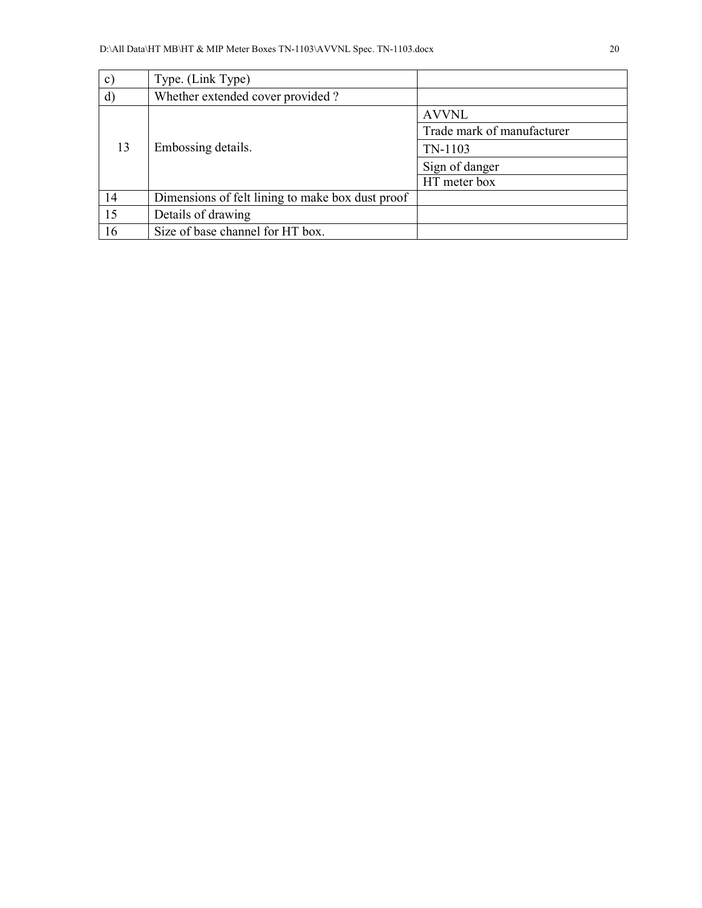| $\mathbf{c}$ | Type. (Link Type)                                |                            |
|--------------|--------------------------------------------------|----------------------------|
| $\mathbf{d}$ | Whether extended cover provided?                 |                            |
|              |                                                  | <b>AVVNL</b>               |
| 13           |                                                  | Trade mark of manufacturer |
|              | Embossing details.                               | TN-1103                    |
|              |                                                  | Sign of danger             |
|              |                                                  | HT meter box               |
| 14           | Dimensions of felt lining to make box dust proof |                            |
| 15           | Details of drawing                               |                            |
| 16           | Size of base channel for HT box.                 |                            |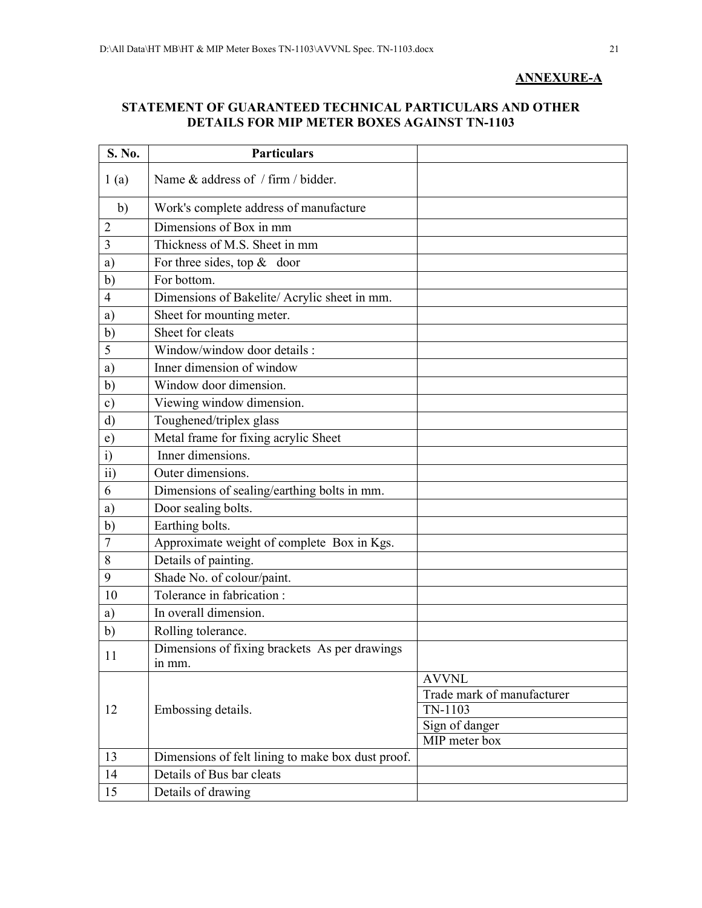### **ANNEXURE-A**

### **STATEMENT OF GUARANTEED TECHNICAL PARTICULARS AND OTHER DETAILS FOR MIP METER BOXES AGAINST TN-1103**

| S. No.          | <b>Particulars</b>                                      |                                 |
|-----------------|---------------------------------------------------------|---------------------------------|
| 1(a)            | Name & address of / firm / bidder.                      |                                 |
| $\mathbf{b}$    | Work's complete address of manufacture                  |                                 |
| 2               | Dimensions of Box in mm                                 |                                 |
| 3               | Thickness of M.S. Sheet in mm                           |                                 |
| a)              | For three sides, top $\&$ door                          |                                 |
| b)              | For bottom.                                             |                                 |
| $\overline{4}$  | Dimensions of Bakelite/Acrylic sheet in mm.             |                                 |
| a)              | Sheet for mounting meter.                               |                                 |
| b)              | Sheet for cleats                                        |                                 |
| 5               | Window/window door details :                            |                                 |
| a)              | Inner dimension of window                               |                                 |
| b)              | Window door dimension.                                  |                                 |
| $\mathbf{c})$   | Viewing window dimension.                               |                                 |
| $\mathbf{d}$    | Toughened/triplex glass                                 |                                 |
| $\epsilon$      | Metal frame for fixing acrylic Sheet                    |                                 |
| $\mathbf{i}$    | Inner dimensions.                                       |                                 |
| $\overline{ii}$ | Outer dimensions.                                       |                                 |
| 6               | Dimensions of sealing/earthing bolts in mm.             |                                 |
| a)              | Door sealing bolts.                                     |                                 |
| b)              | Earthing bolts.                                         |                                 |
| 7               | Approximate weight of complete Box in Kgs.              |                                 |
| 8               | Details of painting.                                    |                                 |
| 9               | Shade No. of colour/paint.                              |                                 |
| 10              | Tolerance in fabrication:                               |                                 |
| a)              | In overall dimension.                                   |                                 |
| b)              | Rolling tolerance.                                      |                                 |
| 11              | Dimensions of fixing brackets As per drawings<br>in mm. |                                 |
|                 |                                                         | <b>AVVNL</b>                    |
|                 |                                                         | Trade mark of manufacturer      |
| 12              | Embossing details.                                      | TN-1103                         |
|                 |                                                         | Sign of danger<br>MIP meter box |
| 13              | Dimensions of felt lining to make box dust proof.       |                                 |
| 14              | Details of Bus bar cleats                               |                                 |
| 15              | Details of drawing                                      |                                 |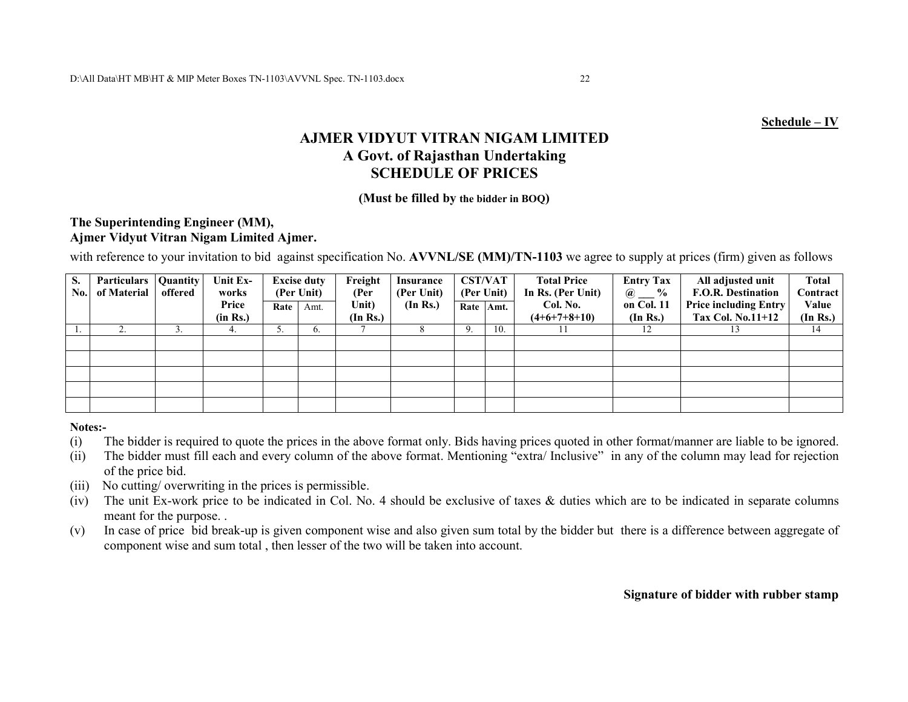## **AJMER VIDYUT VITRAN NIGAM LIMITED A Govt. of Rajasthan Undertaking SCHEDULE OF PRICES**

#### **(Must be filled by the bidder in BOQ)**

### **The Superintending Engineer (MM), Ajmer Vidyut Vitran Nigam Limited Ajmer.**

with reference to your invitation to bid against specification No. **AVVNL/SE (MM)/TN-1103** we agree to supply at prices (firm) given as follows

| S.  | Particulars | <b>Quantity</b> | Unit Ex- |      | <b>Excise duty</b> | Freight  | <b>Insurance</b> | <b>CST/VAT</b> |      | <b>Total Price</b> | <b>Entry Tax</b>                                   | All adjusted unit            | <b>Total</b>    |
|-----|-------------|-----------------|----------|------|--------------------|----------|------------------|----------------|------|--------------------|----------------------------------------------------|------------------------------|-----------------|
| No. | of Material | offered         | works    |      | (Per Unit)         | (Per     | (Per Unit)       | (Per Unit)     |      | In Rs. (Per Unit)  | $\frac{0}{0}$<br>$\omega$ $\overline{\phantom{a}}$ | <b>F.O.R. Destination</b>    | <b>Contract</b> |
|     |             |                 | Price    | Rate | Amt.               | Unit)    | (In Rs.)         | Rate           | Amt. | Col. No.           | on Col. 11                                         | <b>Price including Entry</b> | Value           |
|     |             |                 | (in Rs.) |      |                    | (In Rs.) |                  |                |      | $(4+6+7+8+10)$     | (In Rs.)                                           | <b>Tax Col. No.11+12</b>     | (In Rs.)        |
|     |             |                 |          | J.   | $\mathbf{6}$ .     |          |                  |                | 10.  |                    | 12                                                 | 13                           | 14              |
|     |             |                 |          |      |                    |          |                  |                |      |                    |                                                    |                              |                 |
|     |             |                 |          |      |                    |          |                  |                |      |                    |                                                    |                              |                 |
|     |             |                 |          |      |                    |          |                  |                |      |                    |                                                    |                              |                 |
|     |             |                 |          |      |                    |          |                  |                |      |                    |                                                    |                              |                 |
|     |             |                 |          |      |                    |          |                  |                |      |                    |                                                    |                              |                 |

**Notes:-** 

- The bidder is required to quote the prices in the above format only. Bids having prices quoted in other format/manner are liable to be ignored. (i)
- (ii) The bidder must fill each and every column of the above format. Mentioning "extra/ Inclusive" in any of the column may lead for rejection of the price bid.
- (iii) No cutting/ overwriting in the prices is permissible.
- (iv) The unit Ex-work price to be indicated in Col. No. 4 should be exclusive of taxes & duties which are to be indicated in separate columns meant for the purpose. .
- (v) In case of price bid break-up is given component wise and also given sum total by the bidder but there is a difference between aggregate of component wise and sum total , then lesser of the two will be taken into account.

 **Signature of bidder with rubber stamp**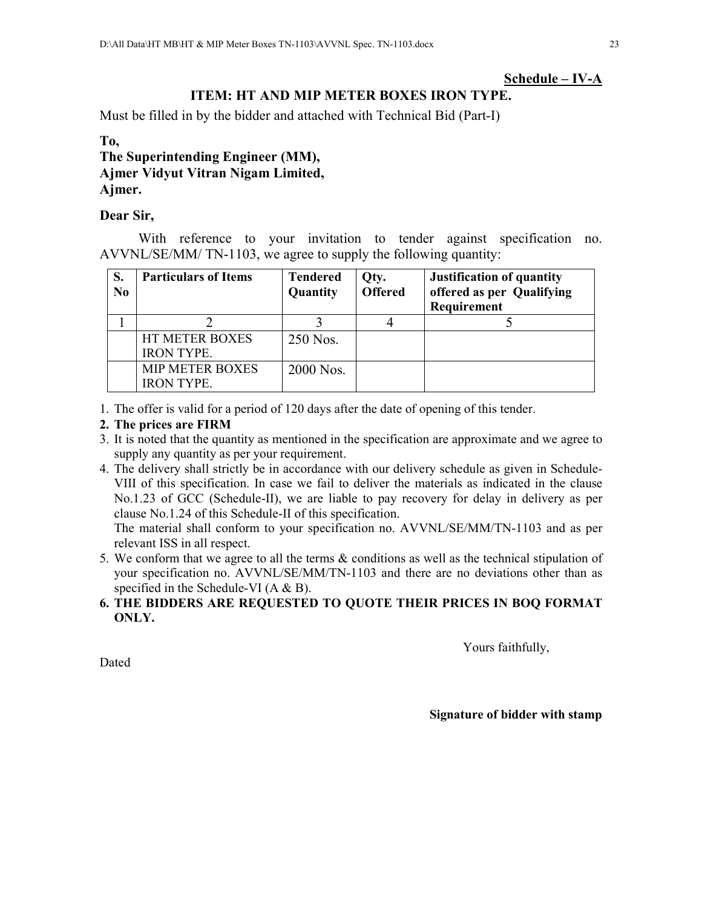### **Schedule – IV-A**

## **ITEM: HT AND MIP METER BOXES IRON TYPE.**

Must be filled in by the bidder and attached with Technical Bid (Part-I)

### **To,**

**The Superintending Engineer (MM), Ajmer Vidyut Vitran Nigam Limited, Ajmer.** 

### **Dear Sir,**

With reference to your invitation to tender against specification no. AVVNL/SE/MM/ TN-1103, we agree to supply the following quantity:

| S.<br>N <sub>0</sub> | <b>Particulars of Items</b>                 | <b>Tendered</b><br>Quantity | Qty.<br><b>Offered</b> | <b>Justification of quantity</b><br>offered as per Qualifying<br>Requirement |  |  |
|----------------------|---------------------------------------------|-----------------------------|------------------------|------------------------------------------------------------------------------|--|--|
|                      |                                             |                             |                        |                                                                              |  |  |
|                      | HT METER BOXES<br><b>IRON TYPE.</b>         | 250 Nos.                    |                        |                                                                              |  |  |
|                      | <b>MIP METER BOXES</b><br><b>IRON TYPE.</b> | 2000 Nos.                   |                        |                                                                              |  |  |

1. The offer is valid for a period of 120 days after the date of opening of this tender.

### **2. The prices are FIRM**

- 3. It is noted that the quantity as mentioned in the specification are approximate and we agree to supply any quantity as per your requirement.
- 4. The delivery shall strictly be in accordance with our delivery schedule as given in Schedule-VIII of this specification. In case we fail to deliver the materials as indicated in the clause No.1.23 of GCC (Schedule-II), we are liable to pay recovery for delay in delivery as per clause No.1.24 of this Schedule-II of this specification.

The material shall conform to your specification no. AVVNL/SE/MM/TN-1103 and as per relevant ISS in all respect.

- 5. We conform that we agree to all the terms & conditions as well as the technical stipulation of your specification no. AVVNL/SE/MM/TN-1103 and there are no deviations other than as specified in the Schedule-VI (A & B).
- **6. THE BIDDERS ARE REQUESTED TO QUOTE THEIR PRICES IN BOQ FORMAT ONLY.**

Yours faithfully,

Dated

#### **Signature of bidder with stamp**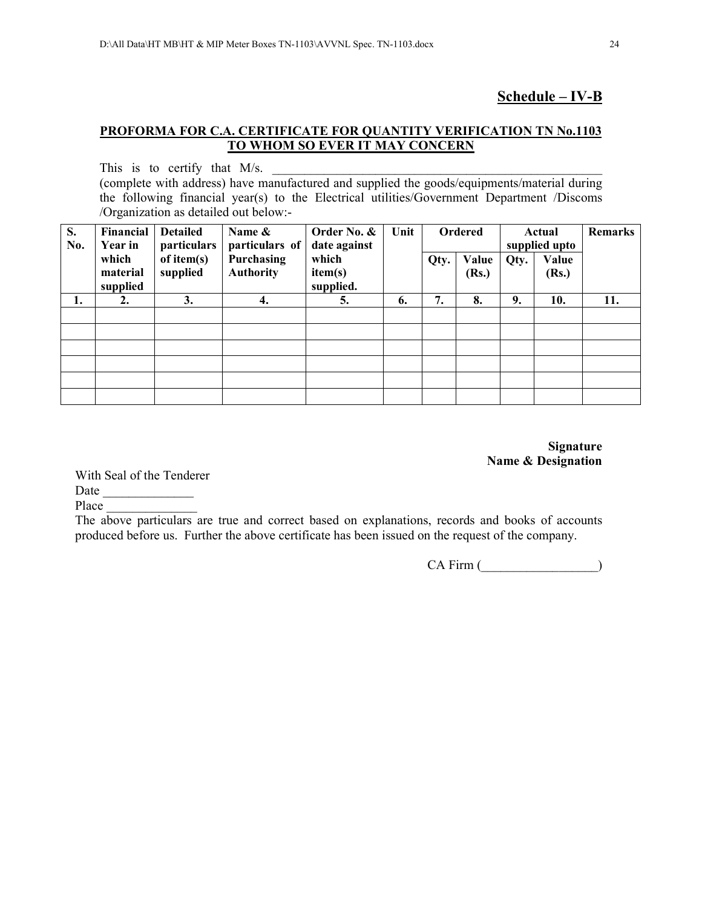### **Schedule – IV-B**

### **PROFORMA FOR C.A. CERTIFICATE FOR QUANTITY VERIFICATION TN No.1103 TO WHOM SO EVER IT MAY CONCERN**

This is to certify that  $M/s$ . (complete with address) have manufactured and supplied the goods/equipments/material during the following financial year(s) to the Electrical utilities/Government Department /Discoms /Organization as detailed out below:-

| S.<br>No. | Financial<br><b>Year in</b> | <b>Detailed</b><br>particulars | Name &<br>particulars of              | Order No. &<br>date against | Unit |      | <b>Ordered</b> |      | Actual<br>supplied upto | <b>Remarks</b> |
|-----------|-----------------------------|--------------------------------|---------------------------------------|-----------------------------|------|------|----------------|------|-------------------------|----------------|
|           | which<br>material           | of item(s)<br>supplied         | <b>Purchasing</b><br><b>Authority</b> | which<br>item(s)            |      | Qty. | Value<br>(Rs.) | Qty. | Value                   |                |
|           | supplied                    |                                |                                       | supplied.                   |      |      |                |      | (Rs.)                   |                |
| 1.        | 2.                          | 3.                             | 4.                                    | 5.                          | 6.   | 7.   | 8.             | 9.   | 10.                     | 11.            |
|           |                             |                                |                                       |                             |      |      |                |      |                         |                |
|           |                             |                                |                                       |                             |      |      |                |      |                         |                |
|           |                             |                                |                                       |                             |      |      |                |      |                         |                |
|           |                             |                                |                                       |                             |      |      |                |      |                         |                |
|           |                             |                                |                                       |                             |      |      |                |      |                         |                |
|           |                             |                                |                                       |                             |      |      |                |      |                         |                |

**Signature Name & Designation** 

With Seal of the Tenderer

Date  $\Box$ 

Place

The above particulars are true and correct based on explanations, records and books of accounts produced before us. Further the above certificate has been issued on the request of the company.

CA Firm (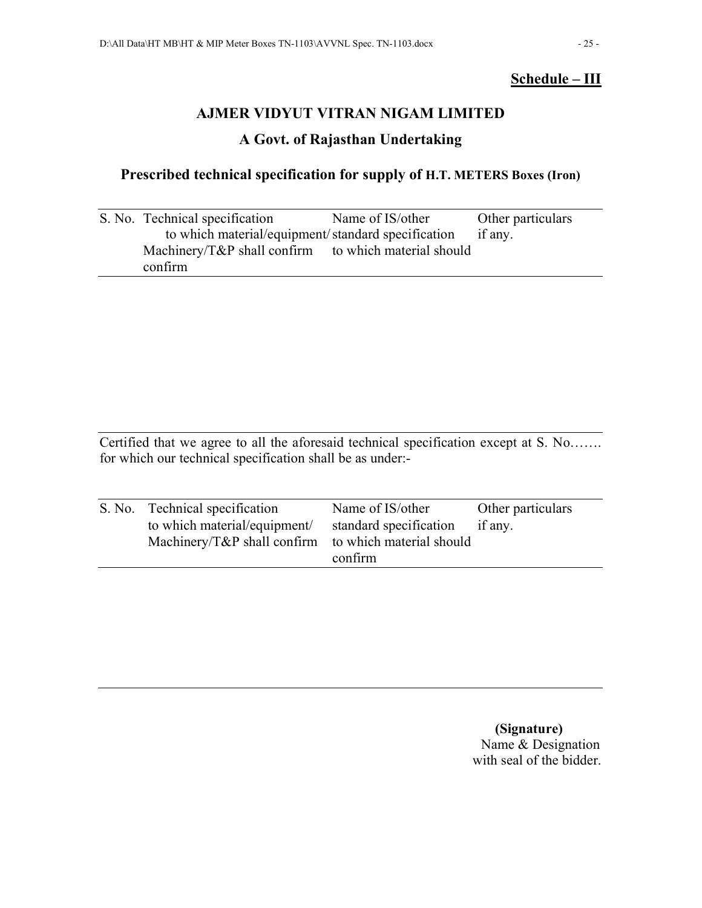## **Schedule – III**

## **AJMER VIDYUT VITRAN NIGAM LIMITED**

## **A Govt. of Rajasthan Undertaking**

## **Prescribed technical specification for supply of H.T. METERS Boxes (Iron)**

| S. No. Technical specification                           | Name of IS/other | Other particulars |
|----------------------------------------------------------|------------------|-------------------|
| to which material/equipment/standard specification       |                  | if any.           |
| Machinery/ $T\&P$ shall confirm to which material should |                  |                   |
| confirm                                                  |                  |                   |

Certified that we agree to all the aforesaid technical specification except at S. No……. for which our technical specification shall be as under:-

| S. No. Technical specification                       | Name of IS/other       | Other particulars |  |
|------------------------------------------------------|------------------------|-------------------|--|
| to which material/equipment/                         | standard specification | if any.           |  |
| Machinery/T&P shall confirm to which material should |                        |                   |  |
|                                                      | confirm                |                   |  |

 **(Signature)**  Name & Designation with seal of the bidder.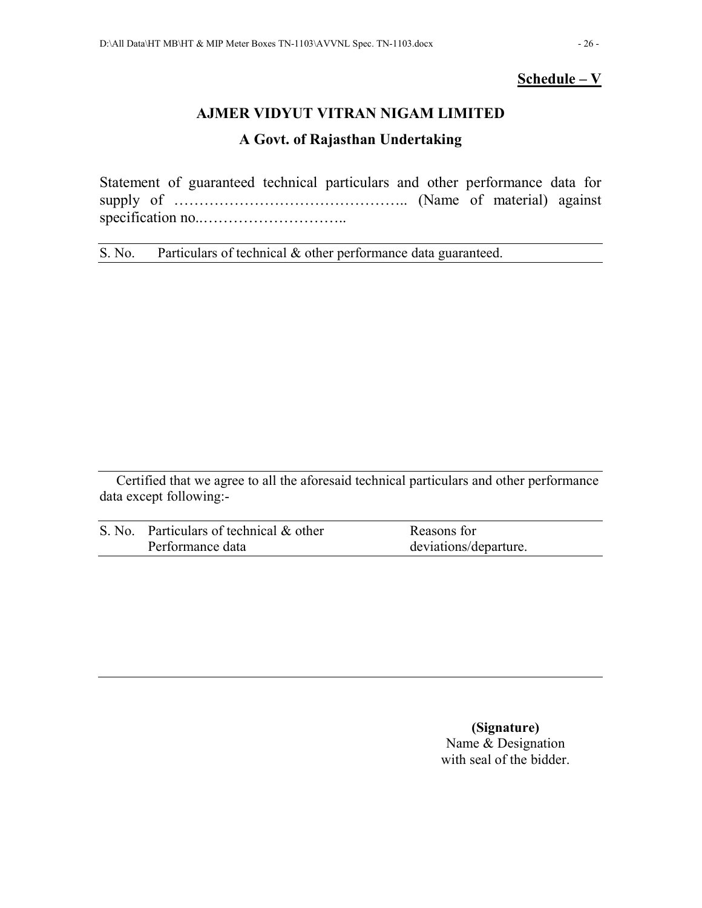## **Schedule – V**

## **AJMER VIDYUT VITRAN NIGAM LIMITED**

## **A Govt. of Rajasthan Undertaking**

Statement of guaranteed technical particulars and other performance data for supply of ……………………………………….. (Name of material) against specification no..………………………..

S. No. Particulars of technical & other performance data guaranteed.

Certified that we agree to all the aforesaid technical particulars and other performance data except following:-

| S. No. Particulars of technical & other | Reasons for           |
|-----------------------------------------|-----------------------|
| Performance data                        | deviations/departure. |

 **(Signature)**  Name & Designation with seal of the bidder.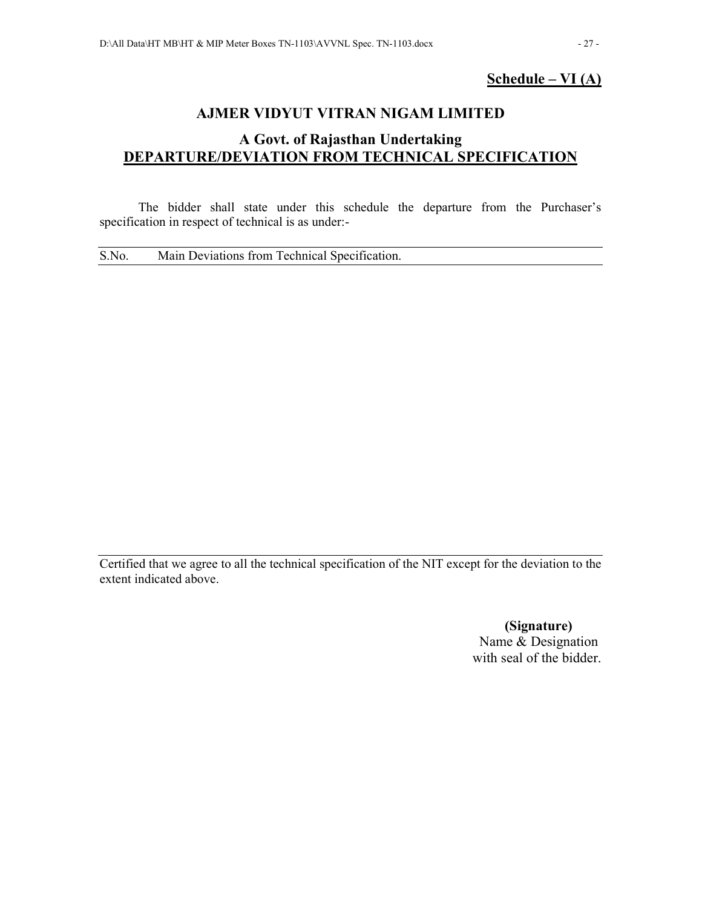## **Schedule – VI (A)**

## **AJMER VIDYUT VITRAN NIGAM LIMITED**

## **A Govt. of Rajasthan Undertaking DEPARTURE/DEVIATION FROM TECHNICAL SPECIFICATION**

The bidder shall state under this schedule the departure from the Purchaser's specification in respect of technical is as under:-

S.No. Main Deviations from Technical Specification.

Certified that we agree to all the technical specification of the NIT except for the deviation to the extent indicated above.

> **(Signature)**  Name & Designation with seal of the bidder.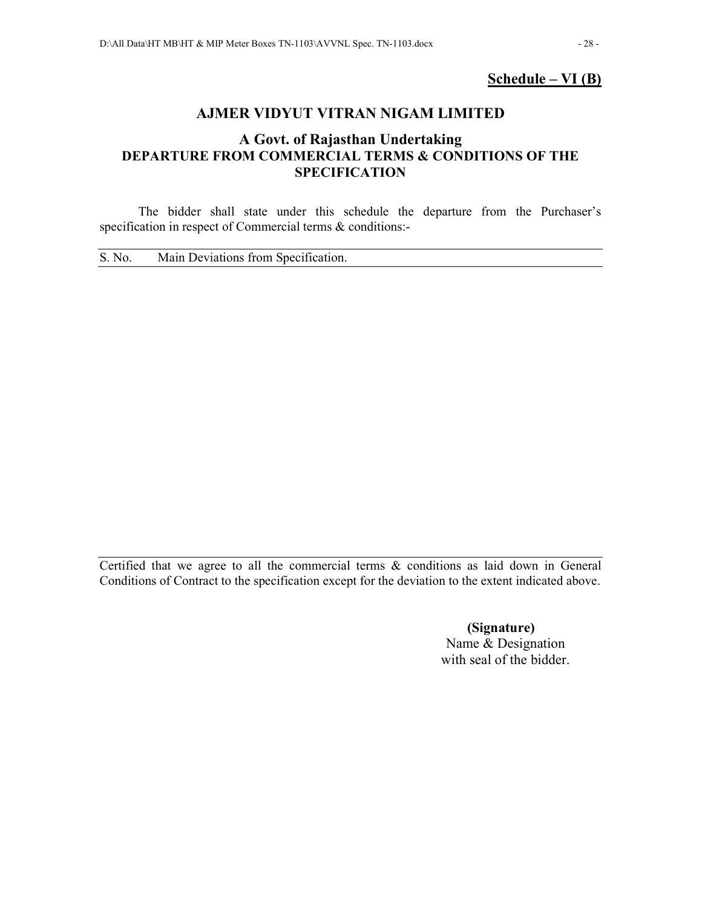## **Schedule – VI (B)**

## **AJMER VIDYUT VITRAN NIGAM LIMITED**

## **A Govt. of Rajasthan Undertaking DEPARTURE FROM COMMERCIAL TERMS & CONDITIONS OF THE SPECIFICATION**

The bidder shall state under this schedule the departure from the Purchaser's specification in respect of Commercial terms & conditions:-

S. No. Main Deviations from Specification.

Certified that we agree to all the commercial terms & conditions as laid down in General Conditions of Contract to the specification except for the deviation to the extent indicated above.

> **(Signature)**  Name & Designation with seal of the bidder.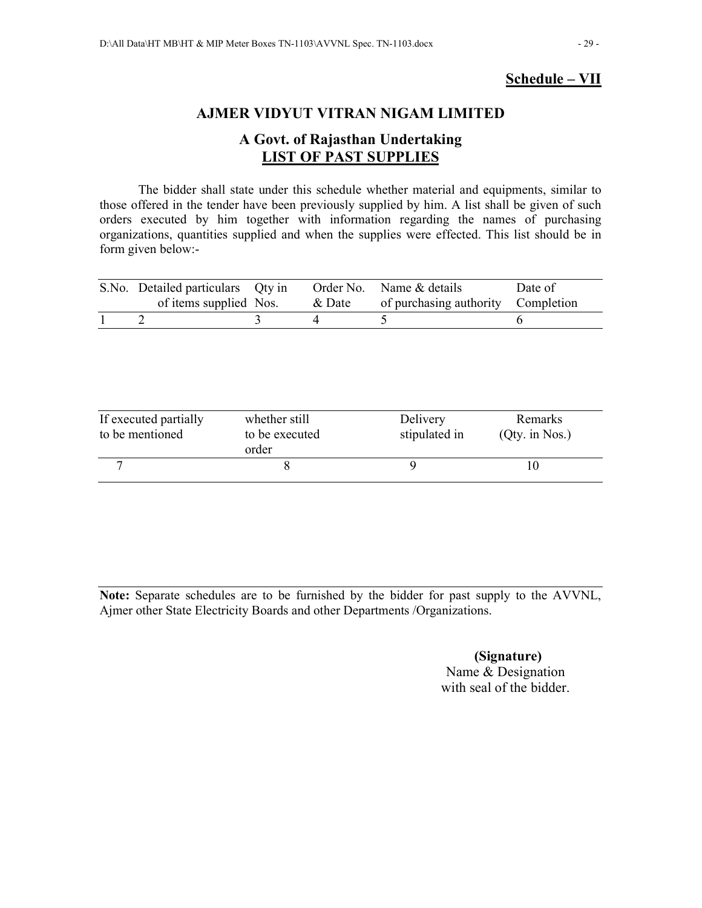## **Schedule – VII**

## **AJMER VIDYUT VITRAN NIGAM LIMITED**

## **A Govt. of Rajasthan Undertaking LIST OF PAST SUPPLIES**

The bidder shall state under this schedule whether material and equipments, similar to those offered in the tender have been previously supplied by him. A list shall be given of such orders executed by him together with information regarding the names of purchasing organizations, quantities supplied and when the supplies were effected. This list should be in form given below:-

| S.No. Detailed particulars Qty in |  | Order No. Name & details                  | Date of |
|-----------------------------------|--|-------------------------------------------|---------|
| of items supplied Nos.            |  | & Date of purchasing authority Completion |         |
|                                   |  |                                           |         |

| If executed partially<br>to be mentioned | whether still<br>to be executed<br>order | Delivery<br>stipulated in | Remarks<br>$(Qty.$ in Nos.) |
|------------------------------------------|------------------------------------------|---------------------------|-----------------------------|
|                                          |                                          |                           |                             |

**Note:** Separate schedules are to be furnished by the bidder for past supply to the AVVNL, Ajmer other State Electricity Boards and other Departments /Organizations.

> **(Signature)**  Name & Designation with seal of the bidder.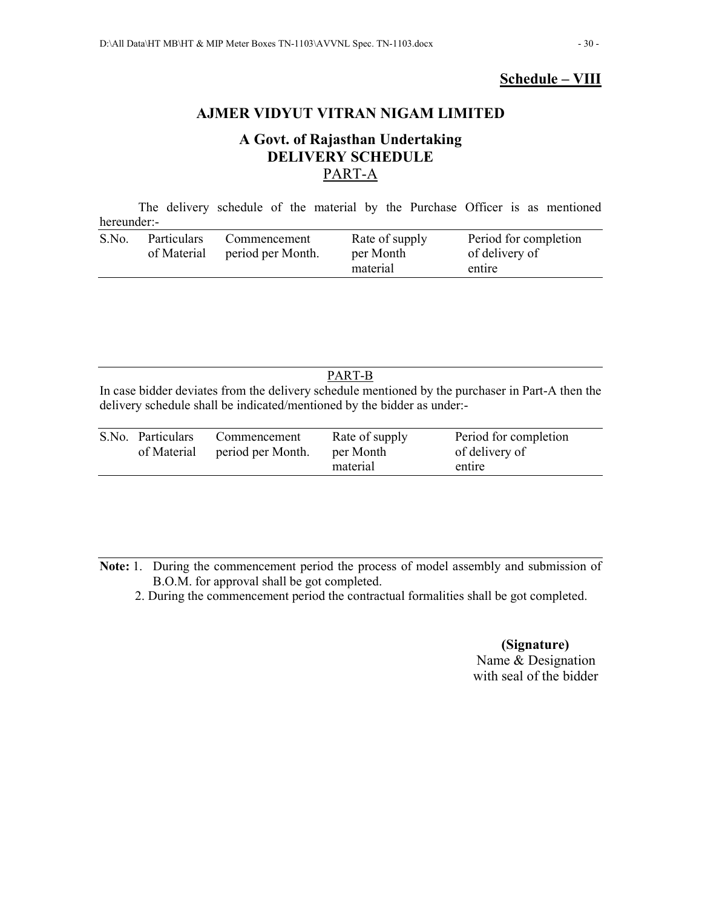## **Schedule – VIII**

## **AJMER VIDYUT VITRAN NIGAM LIMITED**

## **A Govt. of Rajasthan Undertaking DELIVERY SCHEDULE**  PART-A

The delivery schedule of the material by the Purchase Officer is as mentioned hereunder:-

| S.No.<br>Rate of supply<br><b>Particulars</b><br>Commencement<br>period per Month.<br>of Material<br>per Month<br>material | Period for completion<br>of delivery of<br>entire |
|----------------------------------------------------------------------------------------------------------------------------|---------------------------------------------------|
|----------------------------------------------------------------------------------------------------------------------------|---------------------------------------------------|

#### PART-B

In case bidder deviates from the delivery schedule mentioned by the purchaser in Part-A then the delivery schedule shall be indicated/mentioned by the bidder as under:-

| S.No. Particulars<br>of Material | Commencement<br>period per Month. | Rate of supply<br>per Month | Period for completion<br>of delivery of |
|----------------------------------|-----------------------------------|-----------------------------|-----------------------------------------|
|                                  |                                   | material                    | entire                                  |

**Note:** 1.During the commencement period the process of model assembly and submission of B.O.M. for approval shall be got completed.

2. During the commencement period the contractual formalities shall be got completed.

### **(Signature)**  Name & Designation with seal of the bidder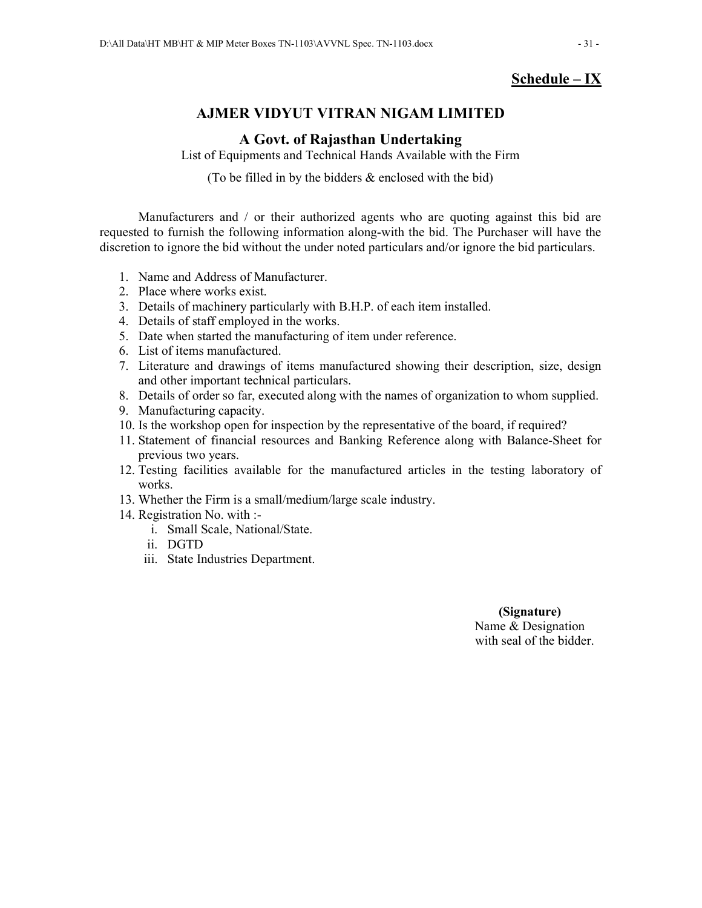## **Schedule – IX**

## **AJMER VIDYUT VITRAN NIGAM LIMITED**

## **A Govt. of Rajasthan Undertaking**

List of Equipments and Technical Hands Available with the Firm

(To be filled in by the bidders  $\&$  enclosed with the bid)

Manufacturers and / or their authorized agents who are quoting against this bid are requested to furnish the following information along-with the bid. The Purchaser will have the discretion to ignore the bid without the under noted particulars and/or ignore the bid particulars.

- 1. Name and Address of Manufacturer.
- 2. Place where works exist.
- 3. Details of machinery particularly with B.H.P. of each item installed.
- 4. Details of staff employed in the works.
- 5. Date when started the manufacturing of item under reference.
- 6. List of items manufactured.
- 7. Literature and drawings of items manufactured showing their description, size, design and other important technical particulars.
- 8. Details of order so far, executed along with the names of organization to whom supplied.
- 9. Manufacturing capacity.
- 10. Is the workshop open for inspection by the representative of the board, if required?
- 11. Statement of financial resources and Banking Reference along with Balance-Sheet for previous two years.
- 12. Testing facilities available for the manufactured articles in the testing laboratory of works.
- 13. Whether the Firm is a small/medium/large scale industry.
- 14. Registration No. with :
	- i. Small Scale, National/State.
	- ii. DGTD
	- iii. State Industries Department.

## **(Signature)**  Name & Designation

with seal of the bidder.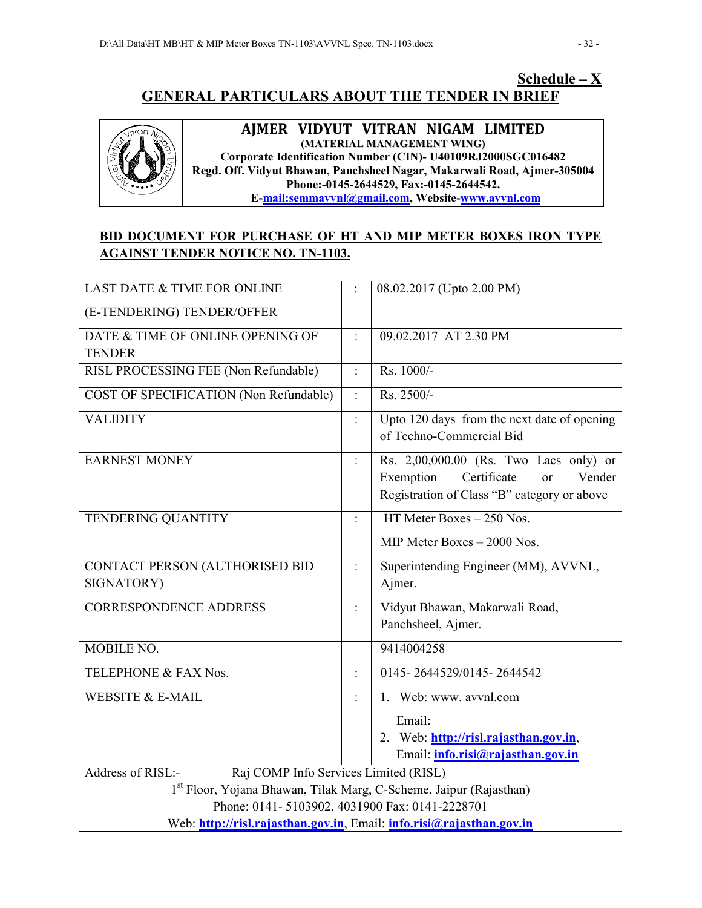## **Schedule – X GENERAL PARTICULARS ABOUT THE TENDER IN BRIEF**



**AJMER VIDYUT VITRAN NIGAM LIMITED (MATERIAL MANAGEMENT WING) Corporate Identification Number (CIN)- U40109RJ2000SGC016482 Regd. Off. Vidyut Bhawan, Panchsheel Nagar, Makarwali Road, Ajmer-305004 Phone:-0145-2644529, Fax:-0145-2644542. E-mail:semmavvnl@gmail.com, Website-www.avvnl.com**

## **BID DOCUMENT FOR PURCHASE OF HT AND MIP METER BOXES IRON TYPE AGAINST TENDER NOTICE NO. TN-1103.**

| <b>LAST DATE &amp; TIME FOR ONLINE</b>                                         |                            | 08.02.2017 (Upto 2.00 PM)                                               |  |
|--------------------------------------------------------------------------------|----------------------------|-------------------------------------------------------------------------|--|
| (E-TENDERING) TENDER/OFFER                                                     |                            |                                                                         |  |
| DATE & TIME OF ONLINE OPENING OF                                               | $\ddot{\cdot}$             | 09.02.2017 AT 2.30 PM                                                   |  |
| <b>TENDER</b>                                                                  |                            |                                                                         |  |
| RISL PROCESSING FEE (Non Refundable)                                           | $\ddot{\cdot}$             | Rs. 1000/-                                                              |  |
| COST OF SPECIFICATION (Non Refundable)                                         | $\ddot{\cdot}$             | Rs. 2500/-                                                              |  |
| <b>VALIDITY</b>                                                                | $\ddot{\cdot}$             | Upto 120 days from the next date of opening<br>of Techno-Commercial Bid |  |
| <b>EARNEST MONEY</b>                                                           | $\ddot{\ddot{\phantom{}}}$ | Rs. 2,00,000.00 (Rs. Two Lacs only) or                                  |  |
|                                                                                |                            | Exemption<br>Certificate<br>Vender<br>or                                |  |
|                                                                                |                            | Registration of Class "B" category or above                             |  |
| TENDERING QUANTITY                                                             | $\ddot{\cdot}$             | HT Meter Boxes $-250$ Nos.                                              |  |
|                                                                                |                            | MIP Meter Boxes - 2000 Nos.                                             |  |
| CONTACT PERSON (AUTHORISED BID                                                 | $\ddot{\cdot}$             | Superintending Engineer (MM), AVVNL,                                    |  |
| SIGNATORY)                                                                     |                            | Ajmer.                                                                  |  |
| <b>CORRESPONDENCE ADDRESS</b>                                                  | $\ddot{\cdot}$             | Vidyut Bhawan, Makarwali Road,                                          |  |
|                                                                                |                            | Panchsheel, Ajmer.                                                      |  |
| MOBILE NO.                                                                     |                            | 9414004258                                                              |  |
| TELEPHONE & FAX Nos.                                                           | $\ddot{\cdot}$             | 0145-2644529/0145-2644542                                               |  |
| <b>WEBSITE &amp; E-MAIL</b>                                                    |                            | 1. Web: www. avvnl.com                                                  |  |
|                                                                                |                            | Email:                                                                  |  |
|                                                                                |                            | 2. Web: http://risl.rajasthan.gov.in,                                   |  |
|                                                                                |                            | Email: <i>info.risi@rajasthan.gov.in</i>                                |  |
| Raj COMP Info Services Limited (RISL)<br>Address of RISL:-                     |                            |                                                                         |  |
| 1 <sup>st</sup> Floor, Yojana Bhawan, Tilak Marg, C-Scheme, Jaipur (Rajasthan) |                            |                                                                         |  |
| Phone: 0141-5103902, 4031900 Fax: 0141-2228701                                 |                            |                                                                         |  |
| Web: http://risl.rajasthan.gov.in, Email: info.risi@rajasthan.gov.in           |                            |                                                                         |  |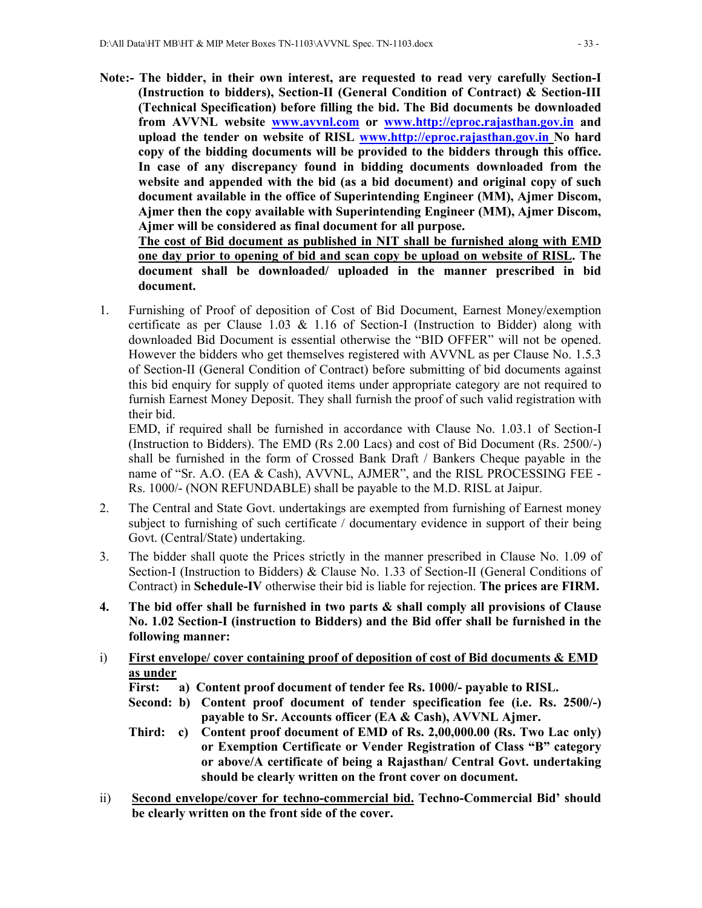**Note:- The bidder, in their own interest, are requested to read very carefully Section-I (Instruction to bidders), Section-II (General Condition of Contract) & Section-III (Technical Specification) before filling the bid. The Bid documents be downloaded from AVVNL website www.avvnl.com or www.http://eproc.rajasthan.gov.in and upload the tender on website of RISL www.http://eproc.rajasthan.gov.in No hard copy of the bidding documents will be provided to the bidders through this office. In case of any discrepancy found in bidding documents downloaded from the website and appended with the bid (as a bid document) and original copy of such document available in the office of Superintending Engineer (MM), Ajmer Discom, Ajmer then the copy available with Superintending Engineer (MM), Ajmer Discom, Ajmer will be considered as final document for all purpose.** 

 **The cost of Bid document as published in NIT shall be furnished along with EMD one day prior to opening of bid and scan copy be upload on website of RISL. The document shall be downloaded/ uploaded in the manner prescribed in bid document.** 

1. Furnishing of Proof of deposition of Cost of Bid Document, Earnest Money/exemption certificate as per Clause 1.03  $\&$  1.16 of Section-I (Instruction to Bidder) along with downloaded Bid Document is essential otherwise the "BID OFFER" will not be opened. However the bidders who get themselves registered with AVVNL as per Clause No. 1.5.3 of Section-II (General Condition of Contract) before submitting of bid documents against this bid enquiry for supply of quoted items under appropriate category are not required to furnish Earnest Money Deposit. They shall furnish the proof of such valid registration with their bid.

EMD, if required shall be furnished in accordance with Clause No. 1.03.1 of Section-I (Instruction to Bidders). The EMD (Rs 2.00 Lacs) and cost of Bid Document (Rs. 2500/-) shall be furnished in the form of Crossed Bank Draft / Bankers Cheque payable in the name of "Sr. A.O. (EA & Cash), AVVNL, AJMER", and the RISL PROCESSING FEE -Rs. 1000/- (NON REFUNDABLE) shall be payable to the M.D. RISL at Jaipur.

- 2. The Central and State Govt. undertakings are exempted from furnishing of Earnest money subject to furnishing of such certificate / documentary evidence in support of their being Govt. (Central/State) undertaking.
- 3. The bidder shall quote the Prices strictly in the manner prescribed in Clause No. 1.09 of Section-I (Instruction to Bidders) & Clause No. 1.33 of Section-II (General Conditions of Contract) in **Schedule-IV** otherwise their bid is liable for rejection. **The prices are FIRM.**
- **4. The bid offer shall be furnished in two parts & shall comply all provisions of Clause No. 1.02 Section-I (instruction to Bidders) and the Bid offer shall be furnished in the following manner:**
- i) **First envelope/ cover containing proof of deposition of cost of Bid documents & EMD as under** 
	- **First: a) Content proof document of tender fee Rs. 1000/- payable to RISL.**
	- **Second: b) Content proof document of tender specification fee (i.e. Rs. 2500/-) payable to Sr. Accounts officer (EA & Cash), AVVNL Ajmer.**
	- **Third: c) Content proof document of EMD of Rs. 2,00,000.00 (Rs. Two Lac only) or Exemption Certificate or Vender Registration of Class "B" category or above/A certificate of being a Rajasthan/ Central Govt. undertaking should be clearly written on the front cover on document.**
- ii) **Second envelope/cover for techno-commercial bid. Techno-Commercial Bid' should be clearly written on the front side of the cover.**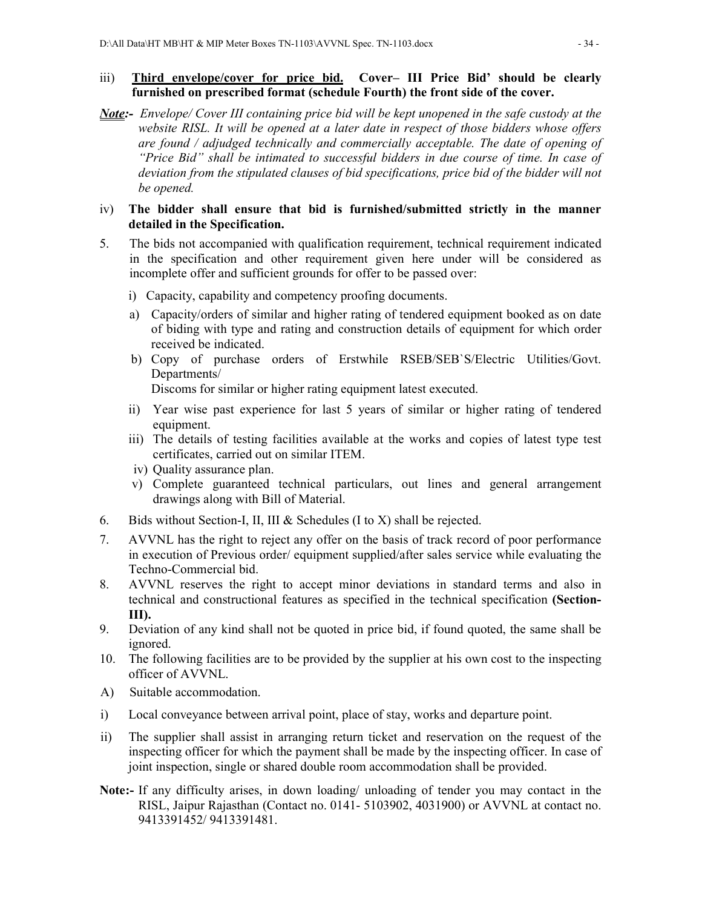### iii) **Third envelope/cover for price bid. Cover– III Price Bid' should be clearly furnished on prescribed format (schedule Fourth) the front side of the cover.**

*Note:- Envelope/ Cover III containing price bid will be kept unopened in the safe custody at the website RISL. It will be opened at a later date in respect of those bidders whose offers are found / adjudged technically and commercially acceptable. The date of opening of "Price Bid" shall be intimated to successful bidders in due course of time. In case of deviation from the stipulated clauses of bid specifications, price bid of the bidder will not be opened.* 

### iv) **The bidder shall ensure that bid is furnished/submitted strictly in the manner detailed in the Specification.**

- 5. The bids not accompanied with qualification requirement, technical requirement indicated in the specification and other requirement given here under will be considered as incomplete offer and sufficient grounds for offer to be passed over:
	- i) Capacity, capability and competency proofing documents.
	- a) Capacity/orders of similar and higher rating of tendered equipment booked as on date of biding with type and rating and construction details of equipment for which order received be indicated.
	- b) Copy of purchase orders of Erstwhile RSEB/SEB`S/Electric Utilities/Govt. Departments/

Discoms for similar or higher rating equipment latest executed.

- ii) Year wise past experience for last 5 years of similar or higher rating of tendered equipment.
- iii) The details of testing facilities available at the works and copies of latest type test certificates, carried out on similar ITEM.
- iv) Quality assurance plan.
- v) Complete guaranteed technical particulars, out lines and general arrangement drawings along with Bill of Material.
- 6. Bids without Section-I, II, III & Schedules (I to X) shall be rejected.
- 7. AVVNL has the right to reject any offer on the basis of track record of poor performance in execution of Previous order/ equipment supplied/after sales service while evaluating the Techno-Commercial bid.
- 8. AVVNL reserves the right to accept minor deviations in standard terms and also in technical and constructional features as specified in the technical specification **(Section-III).**
- 9. Deviation of any kind shall not be quoted in price bid, if found quoted, the same shall be ignored.
- 10. The following facilities are to be provided by the supplier at his own cost to the inspecting officer of AVVNL.
- A) Suitable accommodation.
- i) Local conveyance between arrival point, place of stay, works and departure point.
- ii) The supplier shall assist in arranging return ticket and reservation on the request of the inspecting officer for which the payment shall be made by the inspecting officer. In case of joint inspection, single or shared double room accommodation shall be provided.
- **Note:-** If any difficulty arises, in down loading/ unloading of tender you may contact in the RISL, Jaipur Rajasthan (Contact no. 0141- 5103902, 4031900) or AVVNL at contact no. 9413391452/ 9413391481.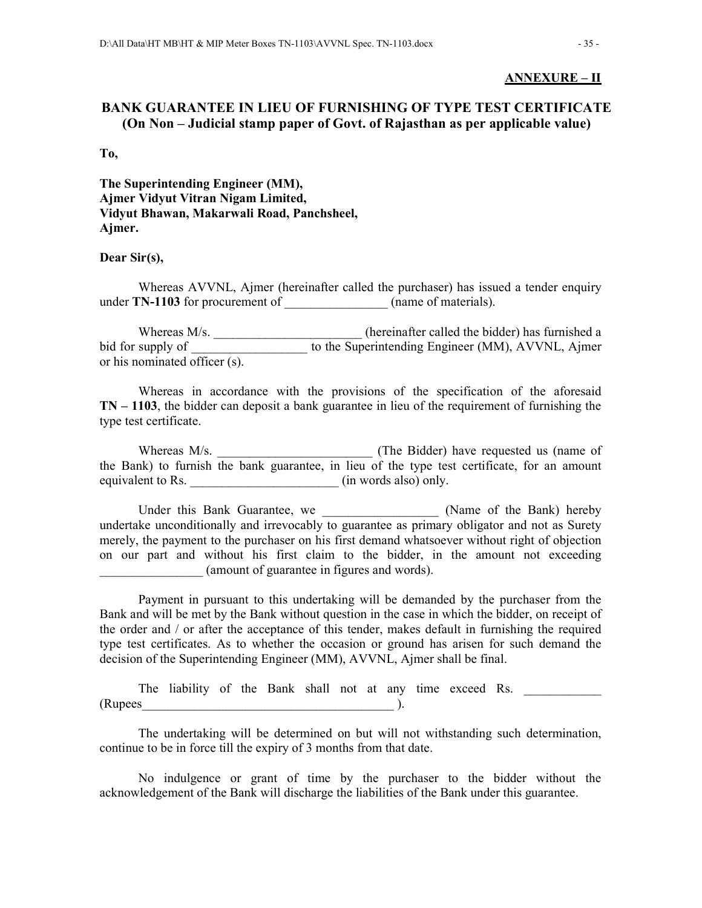#### **ANNEXURE – II**

## **BANK GUARANTEE IN LIEU OF FURNISHING OF TYPE TEST CERTIFICATE (On Non – Judicial stamp paper of Govt. of Rajasthan as per applicable value)**

**To,** 

**The Superintending Engineer (MM), Ajmer Vidyut Vitran Nigam Limited, Vidyut Bhawan, Makarwali Road, Panchsheel, Ajmer.** 

#### **Dear Sir(s),**

 Whereas AVVNL, Ajmer (hereinafter called the purchaser) has issued a tender enquiry under **TN-1103** for procurement of \_\_\_\_\_\_\_\_\_\_\_\_\_\_\_\_ (name of materials).

Whereas M/s. \_\_\_\_\_\_\_\_\_\_\_\_\_\_\_\_\_\_\_\_\_\_\_\_\_\_(hereinafter called the bidder) has furnished a bid for supply of \_\_\_\_\_\_\_\_\_\_\_\_\_\_\_\_\_\_\_\_\_ to the Superintending Engineer (MM), AVVNL, Ajmer or his nominated officer (s).

 Whereas in accordance with the provisions of the specification of the aforesaid **TN – 1103**, the bidder can deposit a bank guarantee in lieu of the requirement of furnishing the type test certificate.

 Whereas M/s. \_\_\_\_\_\_\_\_\_\_\_\_\_\_\_\_\_\_\_\_\_\_\_\_ (The Bidder) have requested us (name of the Bank) to furnish the bank guarantee, in lieu of the type test certificate, for an amount equivalent to Rs.  $\qquad \qquad$  (in words also) only.

Under this Bank Guarantee, we \_\_\_\_\_\_\_\_\_\_\_\_\_\_\_\_\_\_\_\_ (Name of the Bank) hereby undertake unconditionally and irrevocably to guarantee as primary obligator and not as Surety merely, the payment to the purchaser on his first demand whatsoever without right of objection on our part and without his first claim to the bidder, in the amount not exceeding \_\_\_\_\_\_\_\_\_\_\_\_\_\_\_\_ (amount of guarantee in figures and words).

 Payment in pursuant to this undertaking will be demanded by the purchaser from the Bank and will be met by the Bank without question in the case in which the bidder, on receipt of the order and / or after the acceptance of this tender, makes default in furnishing the required type test certificates. As to whether the occasion or ground has arisen for such demand the decision of the Superintending Engineer (MM), AVVNL, Ajmer shall be final.

The liability of the Bank shall not at any time exceed Rs. (Rupees\_\_\_\_\_\_\_\_\_\_\_\_\_\_\_\_\_\_\_\_\_\_\_\_\_\_\_\_\_\_\_\_\_\_\_\_\_\_\_ ).

 The undertaking will be determined on but will not withstanding such determination, continue to be in force till the expiry of 3 months from that date.

 No indulgence or grant of time by the purchaser to the bidder without the acknowledgement of the Bank will discharge the liabilities of the Bank under this guarantee.